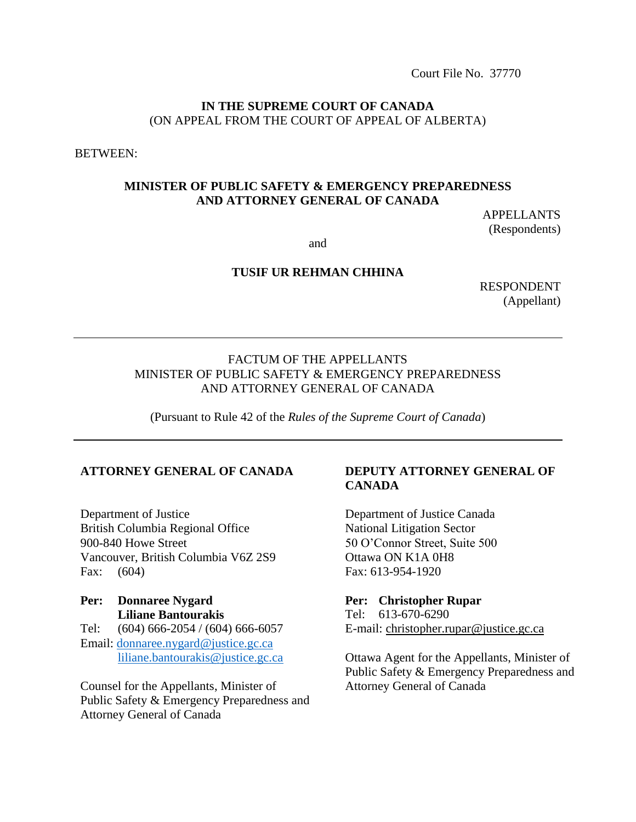Court File No. 37770

#### **IN THE SUPREME COURT OF CANADA** (ON APPEAL FROM THE COURT OF APPEAL OF ALBERTA)

BETWEEN:

#### **MINISTER OF PUBLIC SAFETY & EMERGENCY PREPAREDNESS AND ATTORNEY GENERAL OF CANADA**

APPELLANTS (Respondents)

and

#### **TUSIF UR REHMAN CHHINA**

RESPONDENT (Appellant)

## FACTUM OF THE APPELLANTS MINISTER OF PUBLIC SAFETY & EMERGENCY PREPAREDNESS AND ATTORNEY GENERAL OF CANADA

(Pursuant to Rule 42 of the *Rules of the Supreme Court of Canada*)

#### **ATTORNEY GENERAL OF CANADA**

Department of Justice British Columbia Regional Office 900-840 Howe Street Vancouver, British Columbia V6Z 2S9 Fax: (604)

## **Per: Donnaree Nygard Liliane Bantourakis** Tel: (604) 666-2054 / (604) 666-6057 Email: [donnaree.nygard@justice.gc.ca](mailto:donnaree.nygard@justice.gc.ca) [liliane.bantourakis@justice.gc.ca](mailto:liliane.bantourakis@justice.gc.ca)

Counsel for the Appellants, Minister of Public Safety & Emergency Preparedness and Attorney General of Canada

## **DEPUTY ATTORNEY GENERAL OF CANADA**

Department of Justice Canada National Litigation Sector 50 O'Connor Street, Suite 500 Ottawa ON K1A 0H8 Fax: 613-954-1920

#### **Per: Christopher Rupar**

 Tel: 613-670-6290 E-mail: [christopher.rupar@justice.gc.ca](mailto:christopher.rupar@justice.gc.ca)

Ottawa Agent for the Appellants, Minister of Public Safety & Emergency Preparedness and Attorney General of Canada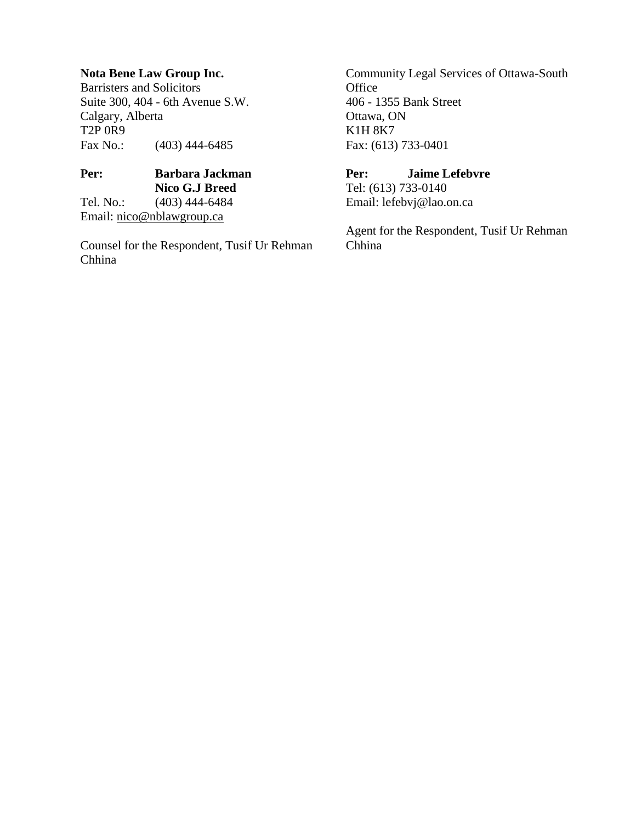## **Nota Bene Law Group Inc.**

Barristers and Solicitors Suite 300, 404 - 6th Avenue S.W. Calgary, Alberta T2P 0R9 Fax No.: (403) 444-6485

## **Per: Barbara Jackman Nico G.J Breed** Tel. No.: (403) 444-6484 Email: [nico@nblawgroup.ca](mailto:nico@nblawgroup.ca)

Counsel for the Respondent, Tusif Ur Rehman Chhina

Community Legal Services of Ottawa-South **Office** 406 - 1355 Bank Street Ottawa, ON K1H 8K7 Fax: (613) 733-0401

## **Per: Jaime Lefebvre**

Tel: (613) 733-0140 Email: [lefebvj@lao.on.ca](mailto:lefebvj@lao.on.ca)

Agent for the Respondent, Tusif Ur Rehman Chhina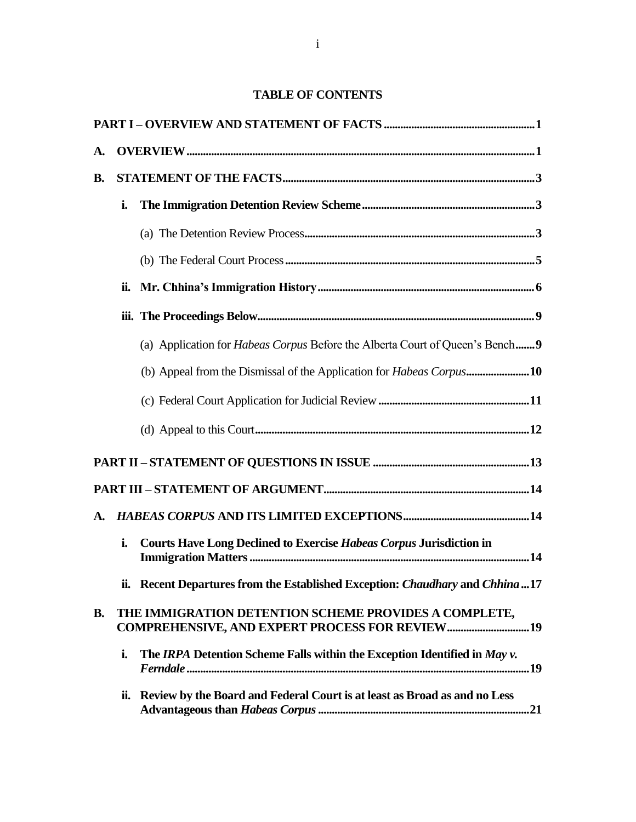## **TABLE OF CONTENTS**

| A.        |     |                                                                                                                 |
|-----------|-----|-----------------------------------------------------------------------------------------------------------------|
| <b>B.</b> |     |                                                                                                                 |
|           | i.  |                                                                                                                 |
|           |     |                                                                                                                 |
|           |     |                                                                                                                 |
|           | ii. |                                                                                                                 |
|           |     |                                                                                                                 |
|           |     | (a) Application for <i>Habeas Corpus</i> Before the Alberta Court of Queen's Bench9                             |
|           |     |                                                                                                                 |
|           |     |                                                                                                                 |
|           |     |                                                                                                                 |
|           |     |                                                                                                                 |
|           |     |                                                                                                                 |
| A.        |     |                                                                                                                 |
|           | i.  | <b>Courts Have Long Declined to Exercise Habeas Corpus Jurisdiction in</b>                                      |
|           |     | ii. Recent Departures from the Established Exception: Chaudhary and Chhina  17                                  |
| <b>B.</b> |     | THE IMMIGRATION DETENTION SCHEME PROVIDES A COMPLETE,<br><b>COMPREHENSIVE, AND EXPERT PROCESS FOR REVIEW 19</b> |
|           | i.  | The IRPA Detention Scheme Falls within the Exception Identified in May v.                                       |
|           | ii. | Review by the Board and Federal Court is at least as Broad as and no Less                                       |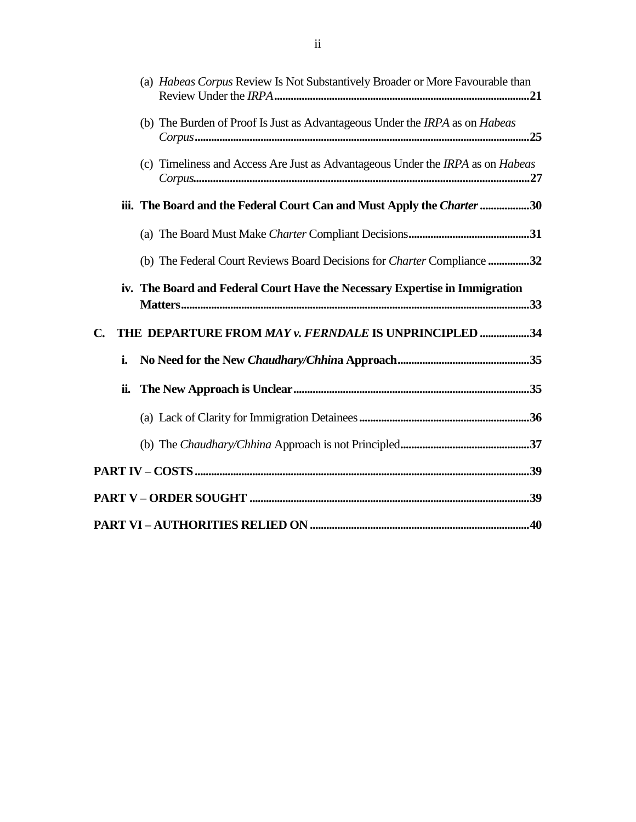|               | ii. |                                                                                |
|---------------|-----|--------------------------------------------------------------------------------|
|               | i.  |                                                                                |
| $C_{\bullet}$ |     | THE DEPARTURE FROM MAY v. FERNDALE IS UNPRINCIPLED 34                          |
|               |     | iv. The Board and Federal Court Have the Necessary Expertise in Immigration    |
|               |     | (b) The Federal Court Reviews Board Decisions for Charter Compliance 32        |
|               |     |                                                                                |
|               |     | iii. The Board and the Federal Court Can and Must Apply the Charter 30         |
|               |     | (c) Timeliness and Access Are Just as Advantageous Under the IRPA as on Habeas |
|               |     | (b) The Burden of Proof Is Just as Advantageous Under the IRPA as on Habeas    |
|               |     | (a) Habeas Corpus Review Is Not Substantively Broader or More Favourable than  |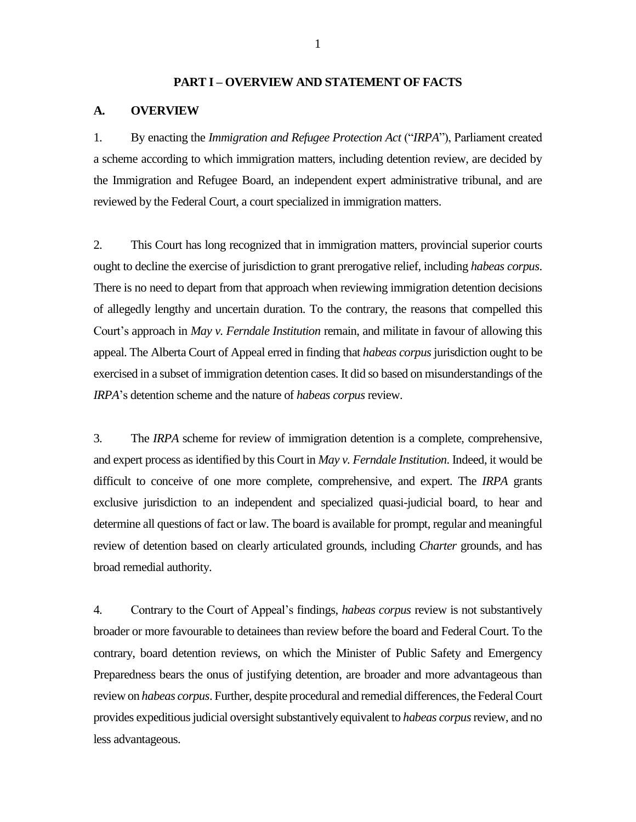#### **PART I – OVERVIEW AND STATEMENT OF FACTS**

#### <span id="page-4-1"></span><span id="page-4-0"></span>**A. OVERVIEW**

1. By enacting the *Immigration and Refugee Protection Act* ("*IRPA*"), Parliament created a scheme according to which immigration matters, including detention review, are decided by the Immigration and Refugee Board, an independent expert administrative tribunal, and are reviewed by the Federal Court, a court specialized in immigration matters.

2. This Court has long recognized that in immigration matters, provincial superior courts ought to decline the exercise of jurisdiction to grant prerogative relief, including *habeas corpus*. There is no need to depart from that approach when reviewing immigration detention decisions of allegedly lengthy and uncertain duration. To the contrary, the reasons that compelled this Court's approach in *May v. Ferndale Institution* remain, and militate in favour of allowing this appeal. The Alberta Court of Appeal erred in finding that *habeas corpus*jurisdiction ought to be exercised in a subset of immigration detention cases. It did so based on misunderstandings of the *IRPA*'s detention scheme and the nature of *habeas corpus* review.

3. The *IRPA* scheme for review of immigration detention is a complete, comprehensive, and expert process as identified by this Court in *May v. Ferndale Institution*. Indeed, it would be difficult to conceive of one more complete, comprehensive, and expert. The *IRPA* grants exclusive jurisdiction to an independent and specialized quasi-judicial board, to hear and determine all questions of fact or law. The board is available for prompt, regular and meaningful review of detention based on clearly articulated grounds, including *Charter* grounds, and has broad remedial authority.

4. Contrary to the Court of Appeal's findings, *habeas corpus* review is not substantively broader or more favourable to detainees than review before the board and Federal Court. To the contrary, board detention reviews, on which the Minister of Public Safety and Emergency Preparedness bears the onus of justifying detention, are broader and more advantageous than review on *habeas corpus*. Further, despite procedural and remedial differences, the Federal Court provides expeditious judicial oversight substantively equivalent to *habeas corpus*review, and no less advantageous.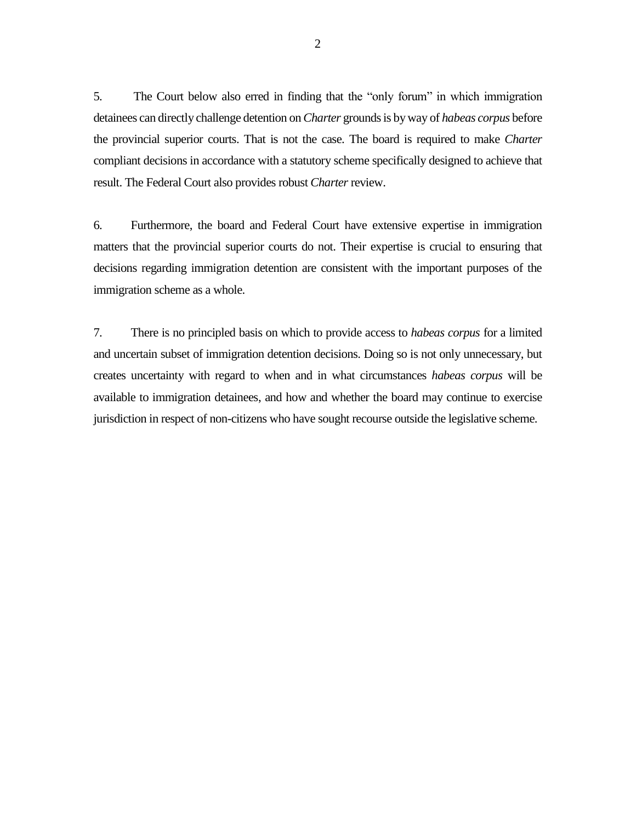5. The Court below also erred in finding that the "only forum" in which immigration detainees can directly challenge detention on*Charter* groundsis by way of *habeas corpus* before the provincial superior courts. That is not the case. The board is required to make *Charter*  compliant decisions in accordance with a statutory scheme specifically designed to achieve that result. The Federal Court also provides robust *Charter* review.

6. Furthermore, the board and Federal Court have extensive expertise in immigration matters that the provincial superior courts do not. Their expertise is crucial to ensuring that decisions regarding immigration detention are consistent with the important purposes of the immigration scheme as a whole.

7. There is no principled basis on which to provide access to *habeas corpus* for a limited and uncertain subset of immigration detention decisions. Doing so is not only unnecessary, but creates uncertainty with regard to when and in what circumstances *habeas corpus* will be available to immigration detainees, and how and whether the board may continue to exercise jurisdiction in respect of non-citizens who have sought recourse outside the legislative scheme.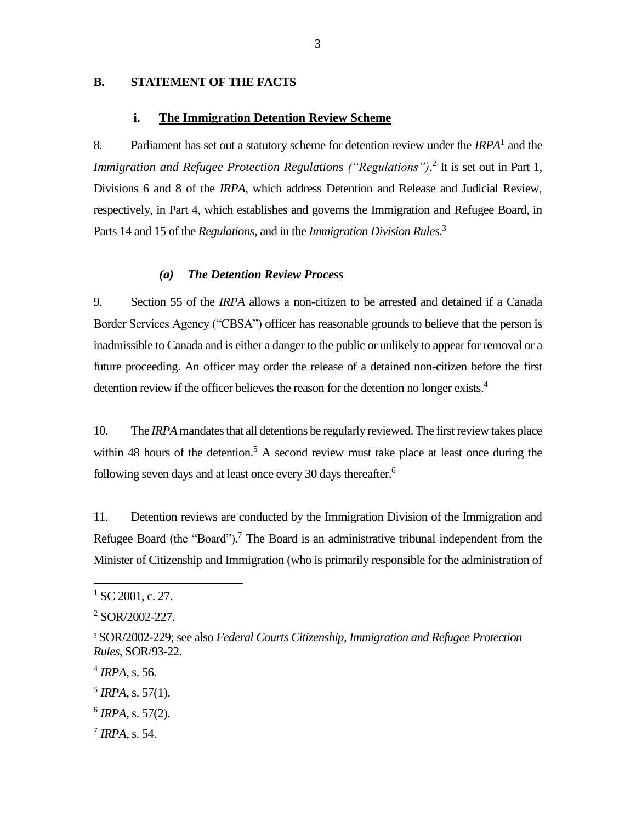## <span id="page-6-0"></span>**B. STATEMENT OF THE FACTS**

#### **i. The Immigration Detention Review Scheme**

<span id="page-6-1"></span>8. Parliament has set out a statutory scheme for detention review under the *IRPA*<sup>1</sup> and the *Immigration and Refugee Protection Regulations ("Regulations")*.<sup>2</sup> It is set out in Part 1, Divisions 6 and 8 of the *IRPA*, which address Detention and Release and Judicial Review, respectively, in Part 4, which establishes and governs the Immigration and Refugee Board, in Parts 14 and 15 of the *Regulations*, and in the *Immigration Division Rules*. 3

#### *(a) The Detention Review Process*

<span id="page-6-2"></span>9. Section 55 of the *IRPA* allows a non-citizen to be arrested and detained if a Canada Border Services Agency ("CBSA") officer has reasonable grounds to believe that the person is inadmissible to Canada and is either a danger to the public or unlikely to appear for removal or a future proceeding. An officer may order the release of a detained non-citizen before the first detention review if the officer believes the reason for the detention no longer exists.<sup>4</sup>

10. The *IRPA*mandates that all detentions be regularly reviewed. The first review takes place within 48 hours of the detention.<sup>5</sup> A second review must take place at least once during the following seven days and at least once every 30 days thereafter.<sup>6</sup>

11. Detention reviews are conducted by the Immigration Division of the Immigration and Refugee Board (the "Board").<sup>7</sup> The Board is an administrative tribunal independent from the Minister of Citizenship and Immigration (who is primarily responsible for the administration of

 $1$  SC 2001, c. 27.

<sup>&</sup>lt;sup>2</sup> SOR/2002-227.

<sup>3</sup> SOR/2002-229; see also *Federal Courts Citizenship, Immigration and Refugee Protection Rules*, SOR/93-22.

<sup>4</sup> *IRPA*, s. 56.

 $<sup>5</sup> IRPA$ , s. 57(1).</sup>

<sup>6</sup> *IRPA*, s. 57(2).

<sup>7</sup> *IRPA*, s. 54.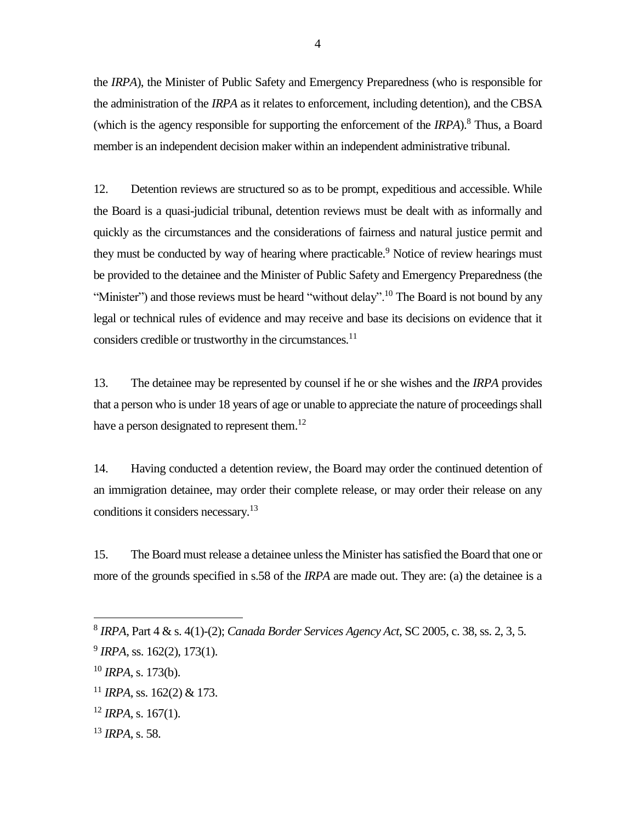the *IRPA*), the Minister of Public Safety and Emergency Preparedness (who is responsible for the administration of the *IRPA* as it relates to enforcement, including detention), and the CBSA (which is the agency responsible for supporting the enforcement of the *IRPA*).<sup>8</sup> Thus, a Board member is an independent decision maker within an independent administrative tribunal.

12. Detention reviews are structured so as to be prompt, expeditious and accessible. While the Board is a quasi-judicial tribunal, detention reviews must be dealt with as informally and quickly as the circumstances and the considerations of fairness and natural justice permit and they must be conducted by way of hearing where practicable.<sup>9</sup> Notice of review hearings must be provided to the detainee and the Minister of Public Safety and Emergency Preparedness (the "Minister") and those reviews must be heard "without delay".<sup>10</sup> The Board is not bound by any legal or technical rules of evidence and may receive and base its decisions on evidence that it considers credible or trustworthy in the circumstances. $11$ 

13. The detainee may be represented by counsel if he or she wishes and the *IRPA* provides that a person who is under 18 years of age or unable to appreciate the nature of proceedings shall have a person designated to represent them.<sup>12</sup>

14. Having conducted a detention review, the Board may order the continued detention of an immigration detainee, may order their complete release, or may order their release on any conditions it considers necessary.<sup>13</sup>

15. The Board must release a detainee unless the Minister has satisfied the Board that one or more of the grounds specified in s.58 of the *IRPA* are made out. They are: (a) the detainee is a

- $12$  *IRPA*, s. 167(1).
- <sup>13</sup> *IRPA*, s. 58.

<sup>8</sup> *IRPA*, Part 4 & s. 4(1)-(2); *Canada Border Services Agency Act*, SC 2005, c. 38, ss. 2, 3, 5.

<sup>&</sup>lt;sup>9</sup> IRPA, ss. 162(2), 173(1).

<sup>10</sup> *IRPA*, s. 173(b).

 $11$  *IRPA*, ss. 162(2) & 173.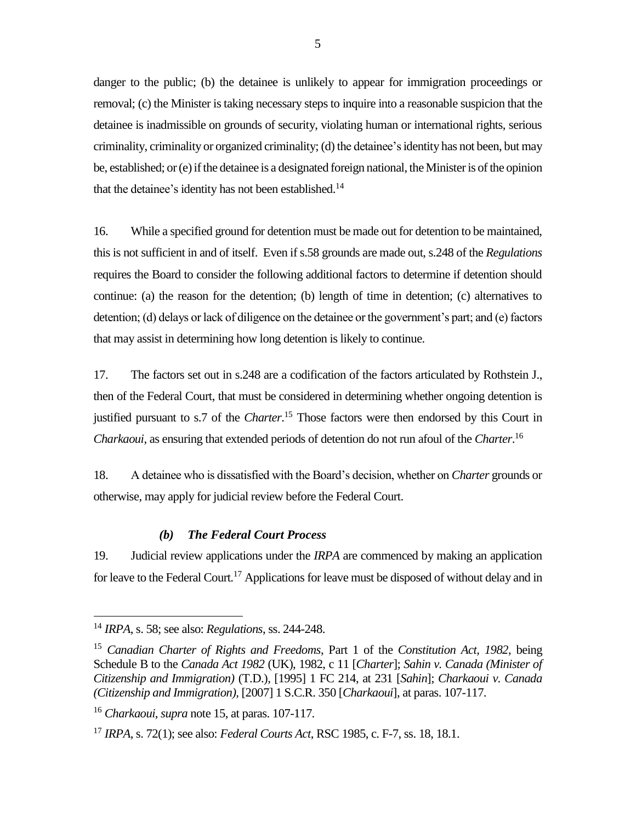danger to the public; (b) the detainee is unlikely to appear for immigration proceedings or removal; (c) the Minister is taking necessary steps to inquire into a reasonable suspicion that the detainee is inadmissible on grounds of security, violating human or international rights, serious criminality, criminality or organized criminality; (d) the detainee'sidentity has not been, but may be, established; or (e) if the detainee is a designated foreign national, the Minister is of the opinion that the detainee's identity has not been established.<sup>14</sup>

16. While a specified ground for detention must be made out for detention to be maintained, this is not sufficient in and of itself. Even if s.58 grounds are made out, s.248 of the *Regulations*  requires the Board to consider the following additional factors to determine if detention should continue: (a) the reason for the detention; (b) length of time in detention; (c) alternatives to detention; (d) delays or lack of diligence on the detainee or the government's part; and (e) factors that may assist in determining how long detention is likely to continue.

17. The factors set out in s.248 are a codification of the factors articulated by Rothstein J., then of the Federal Court, that must be considered in determining whether ongoing detention is justified pursuant to s.7 of the *Charter*. <sup>15</sup> Those factors were then endorsed by this Court in *Charkaoui*, as ensuring that extended periods of detention do not run afoul of the *Charter*. 16

18. A detainee who is dissatisfied with the Board's decision, whether on *Charter* grounds or otherwise, may apply for judicial review before the Federal Court.

#### *(b) The Federal Court Process*

<span id="page-8-0"></span>19. Judicial review applications under the *IRPA* are commenced by making an application for leave to the Federal Court.<sup>17</sup> Applications for leave must be disposed of without delay and in

<sup>14</sup> *IRPA*, s. 58; see also: *Regulations*, ss. 244-248.

<sup>15</sup> *Canadian Charter of Rights and Freedoms*, Part 1 of the *Constitution Act, 1982*, being Schedule B to the *Canada Act 1982* (UK), 1982, c 11 [*Charter*]; *Sahin v. Canada (Minister of Citizenship and Immigration)* (T.D.), [1995] 1 FC 214, at 231 [*Sahin*]; *Charkaoui v. Canada (Citizenship and Immigration),* [2007] 1 S.C.R. 350 [*Charkaoui*], at paras. 107-117.

<sup>16</sup> *Charkaoui*, *supra* note 15, at paras. 107-117.

<sup>17</sup> *IRPA*, s. 72(1); see also: *Federal Courts Act*, RSC 1985, c. F-7, ss. 18, 18.1.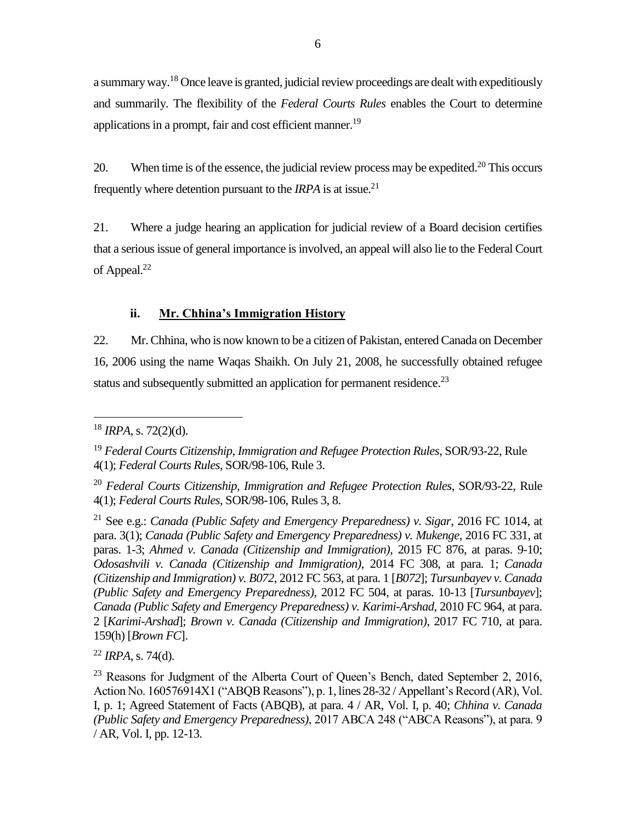a summary way.<sup>18</sup> Once leave is granted, judicial review proceedings are dealt with expeditiously and summarily. The flexibility of the *Federal Courts Rules* enables the Court to determine applications in a prompt, fair and cost efficient manner.<sup>19</sup>

20. When time is of the essence, the judicial review process may be expedited.<sup>20</sup> This occurs frequently where detention pursuant to the *IRPA* is at issue.<sup>21</sup>

21. Where a judge hearing an application for judicial review of a Board decision certifies that a serious issue of general importance is involved, an appeal will also lie to the Federal Court of Appeal.<sup>22</sup>

## **ii. Mr. Chhina's Immigration History**

<span id="page-9-0"></span>22. Mr. Chhina, who is now known to be a citizen of Pakistan, entered Canada on December 16, 2006 using the name Waqas Shaikh. On July 21, 2008, he successfully obtained refugee status and subsequently submitted an application for permanent residence.<sup>23</sup>

<sup>22</sup> *IRPA*, s. 74(d).

 $\overline{a}$ <sup>18</sup> *IRPA*, s. 72(2)(d).

<sup>19</sup> *Federal Courts Citizenship, Immigration and Refugee Protection Rules*, SOR/93-22, Rule 4(1); *Federal Courts Rules*, SOR/98-106, Rule 3.

<sup>20</sup> *Federal Courts Citizenship, Immigration and Refugee Protection Rules*, SOR/93-22, Rule 4(1); *Federal Courts Rules*, SOR/98-106, Rules 3, 8.

<sup>21</sup> See e.g.: *Canada (Public Safety and Emergency Preparedness) v. Sigar*, 2016 FC 1014, at para. 3(1); *Canada (Public Safety and Emergency Preparedness) v. Mukenge*, 2016 FC 331, at paras. 1-3; *Ahmed v. Canada (Citizenship and Immigration)*, 2015 FC 876, at paras. 9-10; *Odosashvili v. Canada (Citizenship and Immigration)*, 2014 FC 308, at para. 1; *Canada (Citizenship and Immigration) v. B072*, 2012 FC 563, at para. 1 [*B072*]; *Tursunbayev v. Canada (Public Safety and Emergency Preparedness)*, 2012 FC 504, at paras. 10-13 [*Tursunbayev*]; *Canada (Public Safety and Emergency Preparedness) v. Karimi-Arshad*, 2010 FC 964, at para. 2 [*Karimi-Arshad*]; *Brown v. Canada (Citizenship and Immigration)*, 2017 FC 710, at para. 159(h) [*Brown FC*].

<sup>&</sup>lt;sup>23</sup> Reasons for Judgment of the Alberta Court of Queen's Bench, dated September 2, 2016, Action No. 160576914X1 ("ABQB Reasons"), p. 1, lines 28-32 / Appellant's Record (AR), Vol. I, p. 1; Agreed Statement of Facts (ABQB), at para. 4 / AR, Vol. I, p. 40; *Chhina v. Canada (Public Safety and Emergency Preparedness)*, 2017 ABCA 248 ("ABCA Reasons"), at para. 9 / AR, Vol. I, pp. 12-13.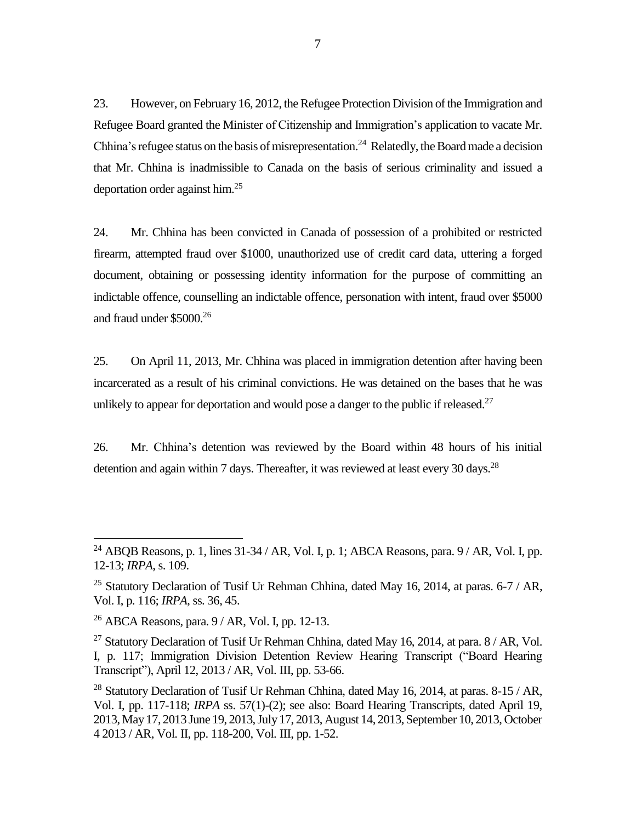23. However, on February 16, 2012, the Refugee Protection Division of the Immigration and Refugee Board granted the Minister of Citizenship and Immigration's application to vacate Mr. Chhina's refugee status on the basis of misrepresentation.<sup>24</sup> Relatedly, the Board made a decision that Mr. Chhina is inadmissible to Canada on the basis of serious criminality and issued a deportation order against him. 25

24. Mr. Chhina has been convicted in Canada of possession of a prohibited or restricted firearm, attempted fraud over \$1000, unauthorized use of credit card data, uttering a forged document, obtaining or possessing identity information for the purpose of committing an indictable offence, counselling an indictable offence, personation with intent, fraud over \$5000 and fraud under \$5000.<sup>26</sup>

25. On April 11, 2013, Mr. Chhina was placed in immigration detention after having been incarcerated as a result of his criminal convictions. He was detained on the bases that he was unlikely to appear for deportation and would pose a danger to the public if released.<sup>27</sup>

26. Mr. Chhina's detention was reviewed by the Board within 48 hours of his initial detention and again within 7 days. Thereafter, it was reviewed at least every 30 days.<sup>28</sup>

<sup>&</sup>lt;sup>24</sup> ABQB Reasons, p. 1, lines  $31-34$  / AR, Vol. I, p. 1; ABCA Reasons, para.  $9$  / AR, Vol. I, pp. 12-13; *IRPA*, s. 109.

<sup>&</sup>lt;sup>25</sup> Statutory Declaration of Tusif Ur Rehman Chhina, dated May 16, 2014, at paras.  $6-7$  / AR, Vol. I, p. 116; *IRPA*, ss. 36, 45.

 $^{26}$  ABCA Reasons, para.  $9/AR$ , Vol. I, pp. 12-13.

<sup>&</sup>lt;sup>27</sup> Statutory Declaration of Tusif Ur Rehman Chhina, dated May 16, 2014, at para.  $8/AR$ , Vol. I, p. 117; Immigration Division Detention Review Hearing Transcript ("Board Hearing Transcript"), April 12, 2013 / AR, Vol. III, pp. 53-66.

<sup>&</sup>lt;sup>28</sup> Statutory Declaration of Tusif Ur Rehman Chhina, dated May 16, 2014, at paras.  $8-15$  / AR, Vol. I, pp. 117-118; *IRPA* ss. 57(1)-(2); see also: Board Hearing Transcripts, dated April 19, 2013, May 17, 2013 June 19, 2013, July 17, 2013, August 14, 2013, September 10, 2013, October 4 2013 / AR, Vol. II, pp. 118-200, Vol. III, pp. 1-52.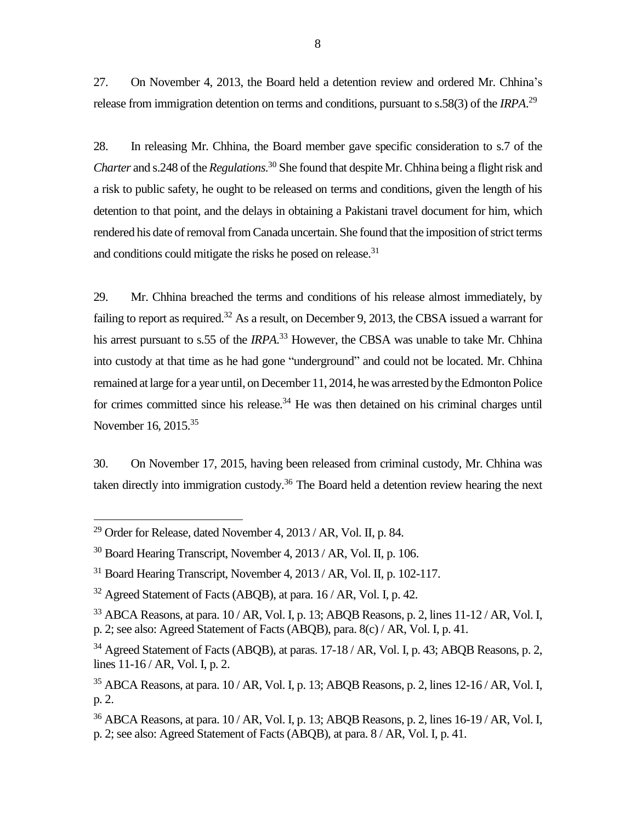27. On November 4, 2013, the Board held a detention review and ordered Mr. Chhina's release from immigration detention on terms and conditions, pursuant to s.58(3) of the *IRPA*. 29

28. In releasing Mr. Chhina, the Board member gave specific consideration to s.7 of the *Charter* and s.248 of the *Regulations*. <sup>30</sup> She found that despite Mr. Chhina being a flight risk and a risk to public safety, he ought to be released on terms and conditions, given the length of his detention to that point, and the delays in obtaining a Pakistani travel document for him, which rendered his date of removal from Canada uncertain. She found that the imposition of strict terms and conditions could mitigate the risks he posed on release.<sup>31</sup>

29. Mr. Chhina breached the terms and conditions of his release almost immediately, by failing to report as required.<sup>32</sup> As a result, on December 9, 2013, the CBSA issued a warrant for his arrest pursuant to s.55 of the *IRPA*. <sup>33</sup> However, the CBSA was unable to take Mr. Chhina into custody at that time as he had gone "underground" and could not be located. Mr. Chhina remained at large for a year until, on December 11, 2014, he was arrested by the Edmonton Police for crimes committed since his release.<sup>34</sup> He was then detained on his criminal charges until November 16, 2015.<sup>35</sup>

30. On November 17, 2015, having been released from criminal custody, Mr. Chhina was taken directly into immigration custody.<sup>36</sup> The Board held a detention review hearing the next

<sup>29</sup> Order for Release, dated November 4, 2013 / AR, Vol. II, p. 84.

 $30$  Board Hearing Transcript, November 4, 2013 / AR, Vol. II, p. 106.

 $31$  Board Hearing Transcript, November 4, 2013 / AR, Vol. II, p. 102-117.

 $32$  Agreed Statement of Facts (ABQB), at para. 16 / AR, Vol. I, p. 42.

 $33$  ABCA Reasons, at para.  $10$  / AR, Vol. I, p. 13; ABQB Reasons, p. 2, lines  $11$ -12 / AR, Vol. I, p. 2; see also: Agreed Statement of Facts (ABQB), para. 8(c) / AR, Vol. I, p. 41.

<sup>&</sup>lt;sup>34</sup> Agreed Statement of Facts (ABQB), at paras. 17-18 / AR, Vol. I, p. 43; ABQB Reasons, p. 2, lines 11-16 / AR, Vol. I, p. 2.

 $35$  ABCA Reasons, at para.  $10$  / AR, Vol. I, p. 13; ABQB Reasons, p. 2, lines  $12$ -16 / AR, Vol. I, p. 2.

 $36$  ABCA Reasons, at para.  $10$  / AR, Vol. I, p. 13; ABQB Reasons, p. 2, lines  $16$ -19 / AR, Vol. I, p. 2; see also: Agreed Statement of Facts (ABQB), at para. 8 / AR, Vol. I, p. 41.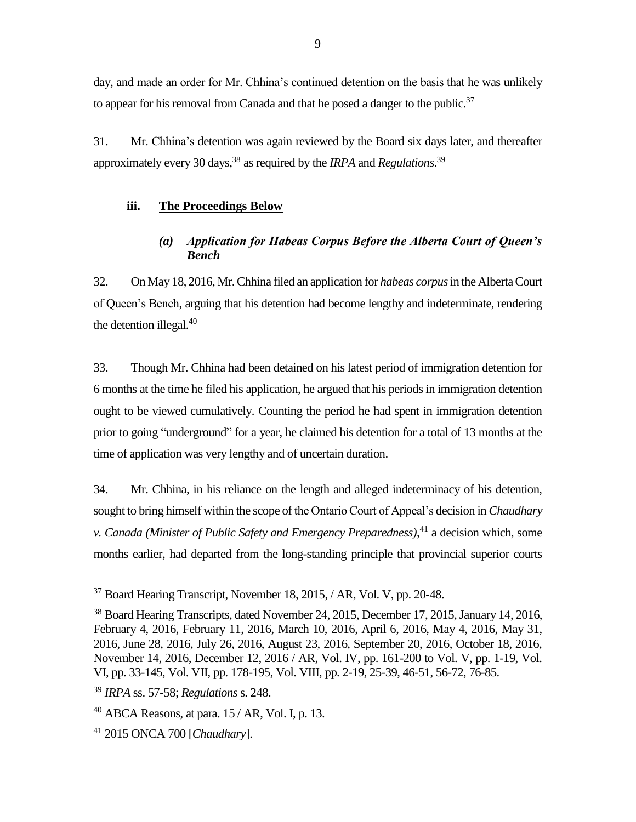day, and made an order for Mr. Chhina's continued detention on the basis that he was unlikely to appear for his removal from Canada and that he posed a danger to the public.<sup>37</sup>

31. Mr. Chhina's detention was again reviewed by the Board six days later, and thereafter approximately every 30 days, <sup>38</sup> as required by the *IRPA* and *Regulations*. 39

#### <span id="page-12-0"></span>**iii. The Proceedings Below**

## *(a) Application for Habeas Corpus Before the Alberta Court of Queen's Bench*

<span id="page-12-1"></span>32. On May 18, 2016, Mr. Chhina filed an application for *habeas corpus*in the Alberta Court of Queen's Bench, arguing that his detention had become lengthy and indeterminate, rendering the detention illegal.<sup>40</sup>

33. Though Mr. Chhina had been detained on his latest period of immigration detention for 6 months at the time he filed his application, he argued that his periods in immigration detention ought to be viewed cumulatively. Counting the period he had spent in immigration detention prior to going "underground" for a year, he claimed his detention for a total of 13 months at the time of application was very lengthy and of uncertain duration.

34. Mr. Chhina, in his reliance on the length and alleged indeterminacy of his detention, sought to bring himself within the scope of the Ontario Court of Appeal's decision in *Chaudhary v. Canada (Minister of Public Safety and Emergency Preparedness)*, <sup>41</sup> a decision which, some months earlier, had departed from the long-standing principle that provincial superior courts

<sup>&</sup>lt;sup>37</sup> Board Hearing Transcript, November 18, 2015, / AR, Vol. V, pp. 20-48.

<sup>38</sup> Board Hearing Transcripts, dated November 24, 2015, December 17, 2015, January 14, 2016, February 4, 2016, February 11, 2016, March 10, 2016, April 6, 2016, May 4, 2016, May 31, 2016, June 28, 2016, July 26, 2016, August 23, 2016, September 20, 2016, October 18, 2016, November 14, 2016, December 12, 2016 / AR, Vol. IV, pp. 161-200 to Vol. V, pp. 1-19, Vol. VI, pp. 33-145, Vol. VII, pp. 178-195, Vol. VIII, pp. 2-19, 25-39, 46-51, 56-72, 76-85.

<sup>39</sup> *IRPA* ss. 57-58; *Regulations* s. 248.

 $^{40}$  ABCA Reasons, at para. 15 / AR, Vol. I, p. 13.

<sup>41</sup> 2015 ONCA 700 [*Chaudhary*].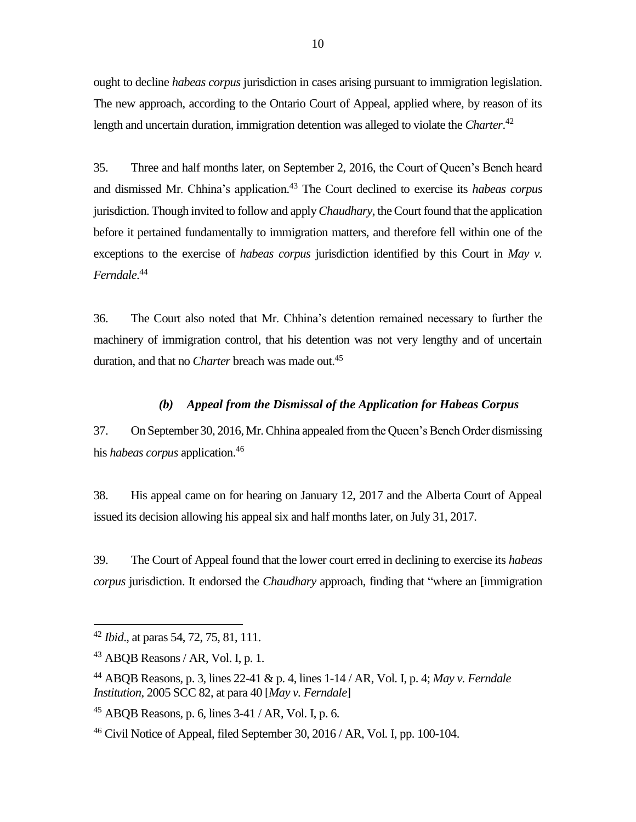ought to decline *habeas corpus* jurisdiction in cases arising pursuant to immigration legislation. The new approach, according to the Ontario Court of Appeal, applied where, by reason of its length and uncertain duration, immigration detention was alleged to violate the *Charter*. 42

35. Three and half months later, on September 2, 2016, the Court of Queen's Bench heard and dismissed Mr. Chhina's application. <sup>43</sup> The Court declined to exercise its *habeas corpus* jurisdiction. Though invited to follow and apply *Chaudhary*, the Court found that the application before it pertained fundamentally to immigration matters, and therefore fell within one of the exceptions to the exercise of *habeas corpus* jurisdiction identified by this Court in *May v. Ferndale*. 44

36. The Court also noted that Mr. Chhina's detention remained necessary to further the machinery of immigration control, that his detention was not very lengthy and of uncertain duration, and that no *Charter* breach was made out. 45

## *(b) Appeal from the Dismissal of the Application for Habeas Corpus*

<span id="page-13-0"></span>37. On September 30, 2016, Mr. Chhina appealed from the Queen's Bench Order dismissing his *habeas corpus* application. 46

38. His appeal came on for hearing on January 12, 2017 and the Alberta Court of Appeal issued its decision allowing his appeal six and half months later, on July 31, 2017.

39. The Court of Appeal found that the lower court erred in declining to exercise its *habeas corpus* jurisdiction. It endorsed the *Chaudhary* approach, finding that "where an [immigration

<sup>42</sup> *Ibid*., at paras 54, 72, 75, 81, 111.

<sup>43</sup> ABQB Reasons / AR, Vol. I, p. 1.

<sup>44</sup> ABQB Reasons, p. 3, lines 22-41 & p. 4, lines 1-14 / AR, Vol. I, p. 4; *May v. Ferndale Institution*, 2005 SCC 82, at para 40 [*May v. Ferndale*]

 $45$  ABQB Reasons, p. 6, lines  $3-41$  / AR, Vol. I, p. 6.

<sup>46</sup> Civil Notice of Appeal, filed September 30, 2016 / AR, Vol. I, pp. 100-104.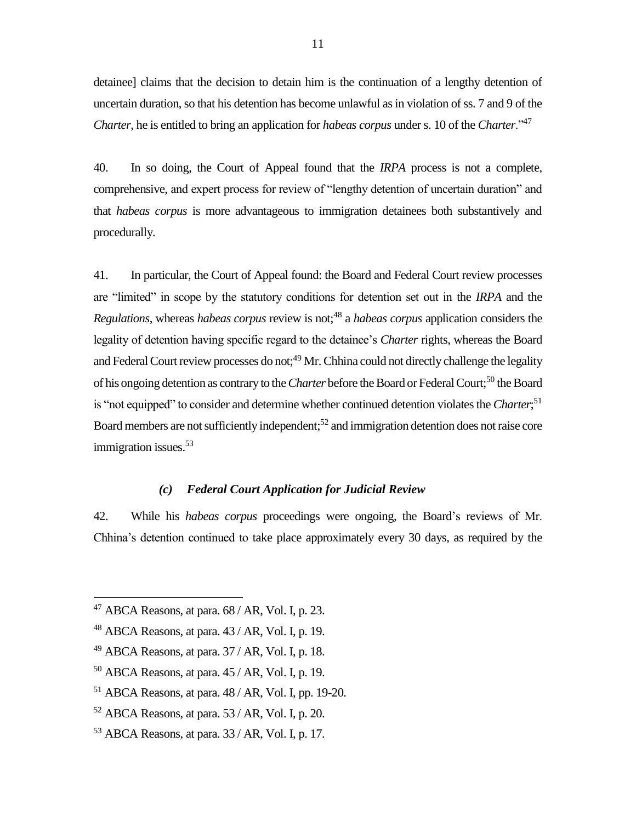detainee] claims that the decision to detain him is the continuation of a lengthy detention of uncertain duration, so that his detention has become unlawful as in violation of ss. 7 and 9 of the *Charter*, he is entitled to bring an application for *habeas corpus* under s. 10 of the *Charter*."<sup>47</sup>

40. In so doing, the Court of Appeal found that the *IRPA* process is not a complete, comprehensive, and expert process for review of "lengthy detention of uncertain duration" and that *habeas corpus* is more advantageous to immigration detainees both substantively and procedurally.

41. In particular, the Court of Appeal found: the Board and Federal Court review processes are "limited" in scope by the statutory conditions for detention set out in the *IRPA* and the *Regulations*, whereas *habeas corpus* review is not;<sup>48</sup> a *habeas corpus* application considers the legality of detention having specific regard to the detainee's *Charter* rights, whereas the Board and Federal Court review processes do not;<sup>49</sup> Mr. Chhina could not directly challenge the legality of his ongoing detention as contrary to the *Charter* before the Board or Federal Court;<sup>50</sup> the Board is "not equipped" to consider and determine whether continued detention violates the *Charter*;<sup>51</sup> Board members are not sufficiently independent;<sup>52</sup> and immigration detention does not raise core immigration issues. 53

## *(c) Federal Court Application for Judicial Review*

<span id="page-14-0"></span>42. While his *habeas corpus* proceedings were ongoing, the Board's reviews of Mr. Chhina's detention continued to take place approximately every 30 days, as required by the

- <sup>51</sup> ABCA Reasons, at para. 48 / AR, Vol. I, pp. 19-20.
- $52$  ABCA Reasons, at para.  $53$  / AR, Vol. I, p. 20.
- $53$  ABCA Reasons, at para.  $33$  / AR, Vol. I, p. 17.

 $47$  ABCA Reasons, at para.  $68$  / AR, Vol. I, p. 23.

 $48$  ABCA Reasons, at para.  $43$  / AR, Vol. I, p. 19.

 $49$  ABCA Reasons, at para.  $37/AR$ , Vol. I, p. 18.

 $50$  ABCA Reasons, at para.  $45$  / AR, Vol. I, p. 19.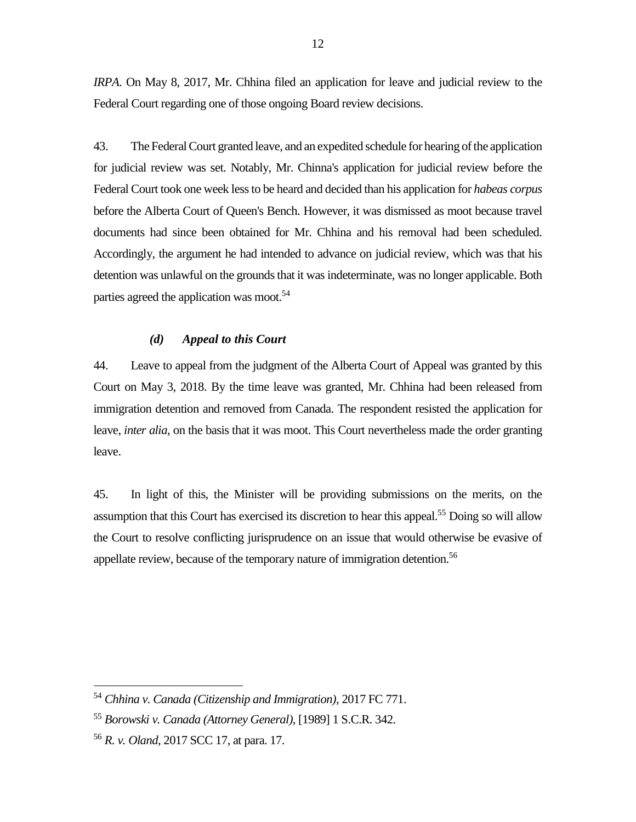*IRPA*. On May 8, 2017, Mr. Chhina filed an application for leave and judicial review to the Federal Court regarding one of those ongoing Board review decisions.

43. The Federal Court granted leave, and an expedited schedule for hearing of the application for judicial review was set. Notably, Mr. Chinna's application for judicial review before the Federal Court took one week less to be heard and decided than his application for *habeas corpus* before the Alberta Court of Queen's Bench. However, it was dismissed as moot because travel documents had since been obtained for Mr. Chhina and his removal had been scheduled. Accordingly, the argument he had intended to advance on judicial review, which was that his detention was unlawful on the grounds that it was indeterminate, was no longer applicable. Both parties agreed the application was moot.<sup>54</sup>

#### *(d) Appeal to this Court*

<span id="page-15-0"></span>44. Leave to appeal from the judgment of the Alberta Court of Appeal was granted by this Court on May 3, 2018. By the time leave was granted, Mr. Chhina had been released from immigration detention and removed from Canada. The respondent resisted the application for leave, *inter alia*, on the basis that it was moot. This Court nevertheless made the order granting leave.

45. In light of this, the Minister will be providing submissions on the merits, on the assumption that this Court has exercised its discretion to hear this appeal.<sup>55</sup> Doing so will allow the Court to resolve conflicting jurisprudence on an issue that would otherwise be evasive of appellate review, because of the temporary nature of immigration detention.<sup>56</sup>

<sup>54</sup> *Chhina v. Canada (Citizenship and Immigration)*, 2017 FC 771.

<sup>55</sup> *Borowski v. Canada (Attorney General)*, [1989] 1 S.C.R. 342.

<sup>56</sup> *R. v. Oland*, 2017 SCC 17, at para. 17.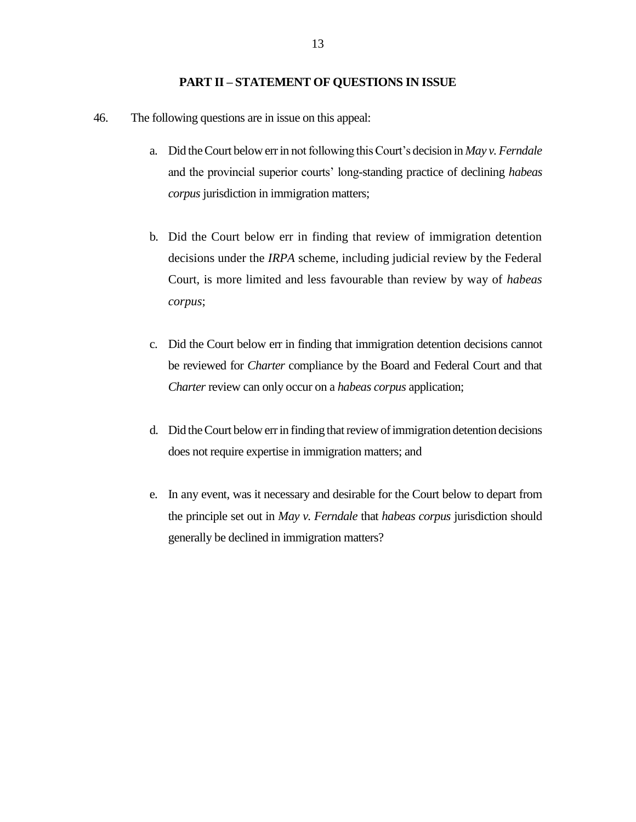#### **PART II – STATEMENT OF QUESTIONS IN ISSUE**

- <span id="page-16-0"></span>46. The following questions are in issue on this appeal:
	- a. Did the Court below err in not following this Court's decision in *May v. Ferndale* and the provincial superior courts' long-standing practice of declining *habeas corpus* jurisdiction in immigration matters;
	- b. Did the Court below err in finding that review of immigration detention decisions under the *IRPA* scheme, including judicial review by the Federal Court, is more limited and less favourable than review by way of *habeas corpus*;
	- c. Did the Court below err in finding that immigration detention decisions cannot be reviewed for *Charter* compliance by the Board and Federal Court and that *Charter* review can only occur on a *habeas corpus* application;
	- d. Did the Court below err in finding that review of immigration detention decisions does not require expertise in immigration matters; and
	- e. In any event, was it necessary and desirable for the Court below to depart from the principle set out in *May v. Ferndale* that *habeas corpus* jurisdiction should generally be declined in immigration matters?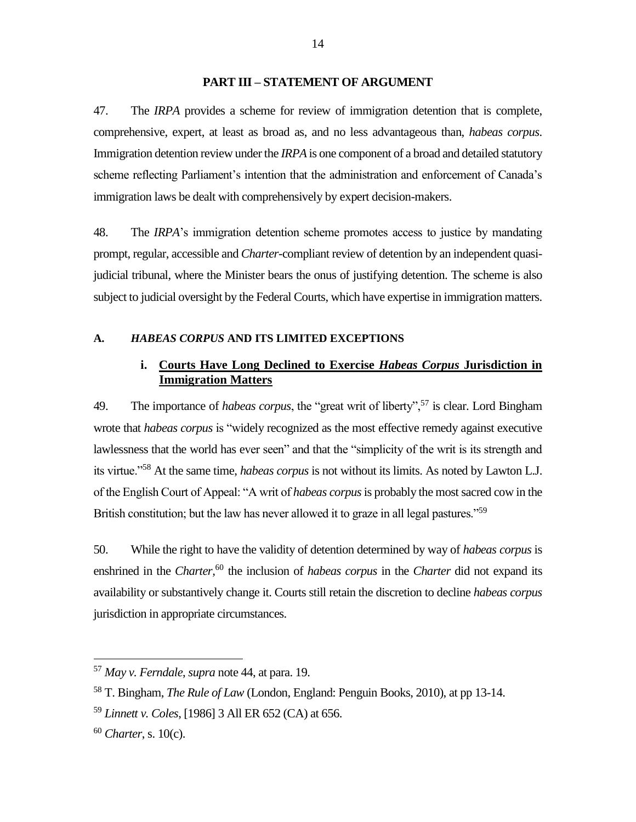#### **PART III – STATEMENT OF ARGUMENT**

<span id="page-17-0"></span>47. The *IRPA* provides a scheme for review of immigration detention that is complete, comprehensive, expert, at least as broad as, and no less advantageous than, *habeas corpus*. Immigration detention review under the *IRPA* is one component of a broad and detailed statutory scheme reflecting Parliament's intention that the administration and enforcement of Canada's immigration laws be dealt with comprehensively by expert decision-makers.

48. The *IRPA*'s immigration detention scheme promotes access to justice by mandating prompt, regular, accessible and *Charter*-compliant review of detention by an independent quasijudicial tribunal, where the Minister bears the onus of justifying detention. The scheme is also subject to judicial oversight by the Federal Courts, which have expertise in immigration matters.

#### <span id="page-17-2"></span><span id="page-17-1"></span>**A.** *HABEAS CORPUS* **AND ITS LIMITED EXCEPTIONS**

## **i. Courts Have Long Declined to Exercise** *Habeas Corpus* **Jurisdiction in Immigration Matters**

49. The importance of *habeas corpus*, the "great writ of liberty",<sup>57</sup> is clear. Lord Bingham wrote that *habeas corpus* is "widely recognized as the most effective remedy against executive lawlessness that the world has ever seen" and that the "simplicity of the writ is its strength and its virtue."<sup>58</sup> At the same time, *habeas corpus* is not without its limits. As noted by Lawton L.J. of the English Court of Appeal: "A writ of *habeas corpus*is probably the most sacred cow in the British constitution; but the law has never allowed it to graze in all legal pastures."<sup>59</sup>

50. While the right to have the validity of detention determined by way of *habeas corpus* is enshrined in the *Charter,*<sup>60</sup> the inclusion of *habeas corpus* in the *Charter* did not expand its availability or substantively change it. Courts still retain the discretion to decline *habeas corpus*  jurisdiction in appropriate circumstances.

<sup>57</sup> *May v. Ferndale*, *supra* note 44, at para. 19.

<sup>58</sup> T. Bingham, *The Rule of Law* (London, England: Penguin Books, 2010), at pp 13-14.

<sup>59</sup> *Linnett v. Coles*, [1986] 3 All ER 652 (CA) at 656.

<sup>60</sup> *Charter*, s. 10(c).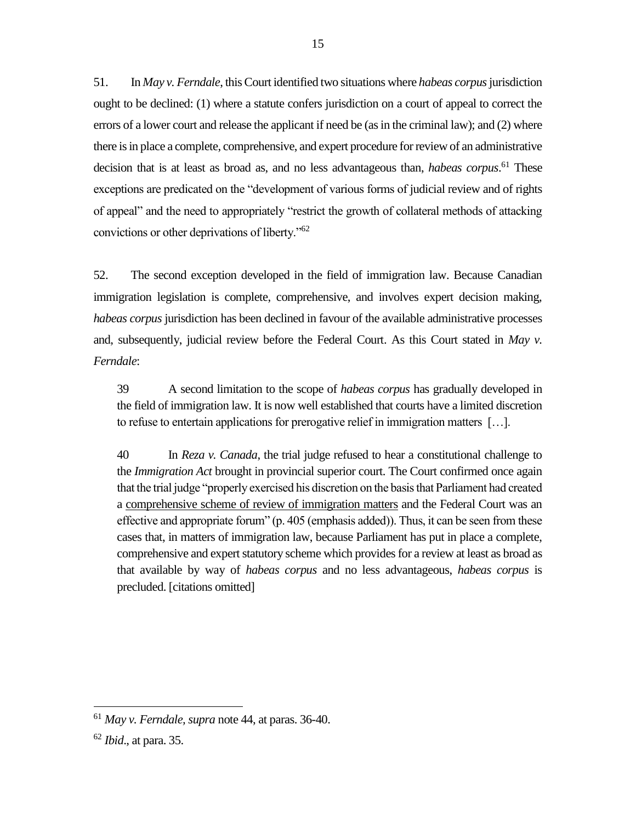51. In *May v. Ferndale*, thisCourt identified two situations where *habeas corpus*jurisdiction ought to be declined: (1) where a statute confers jurisdiction on a court of appeal to correct the errors of a lower court and release the applicant if need be (as in the criminal law); and (2) where there is in place a complete, comprehensive, and expert procedure for review of an administrative decision that is at least as broad as, and no less advantageous than, *habeas corpus*. <sup>61</sup> These exceptions are predicated on the "development of various forms of judicial review and of rights of appeal" and the need to appropriately "restrict the growth of collateral methods of attacking convictions or other deprivations of liberty."<sup>62</sup>

52. The second exception developed in the field of immigration law. Because Canadian immigration legislation is complete, comprehensive, and involves expert decision making, *habeas corpus* jurisdiction has been declined in favour of the available administrative processes and, subsequently, judicial review before the Federal Court. As this Court stated in *May v. Ferndale*:

39 A second limitation to the scope of *habeas corpus* has gradually developed in the field of immigration law. It is now well established that courts have a limited discretion to refuse to entertain applications for prerogative relief in immigration matters […].

40 In *Reza v. Canada*, the trial judge refused to hear a constitutional challenge to the *Immigration Act* brought in provincial superior court. The Court confirmed once again that the trial judge "properly exercised his discretion on the basis that Parliament had created a comprehensive scheme of review of immigration matters and the Federal Court was an effective and appropriate forum" (p. 405 (emphasis added)). Thus, it can be seen from these cases that, in matters of immigration law, because Parliament has put in place a complete, comprehensive and expert statutory scheme which provides for a review at least as broad as that available by way of *habeas corpus* and no less advantageous, *habeas corpus* is precluded. [citations omitted]

<sup>61</sup> *May v. Ferndale, supra* note 44, at paras. 36-40.

<sup>62</sup> *Ibid*., at para. 35.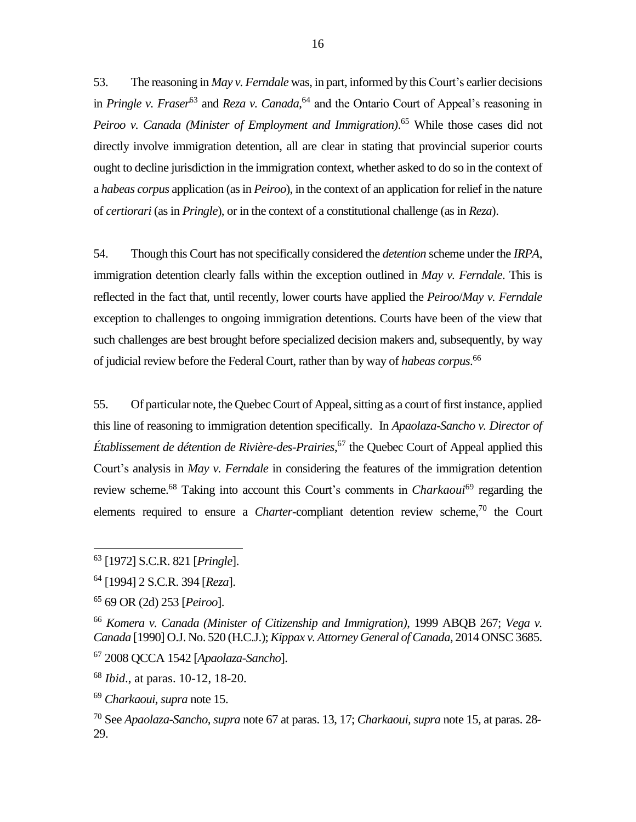53. The reasoning in *May v. Ferndale* was, in part, informed by this Court's earlier decisions in *Pringle v. Fraser*<sup>63</sup> and *Reza v. Canada*, <sup>64</sup> and the Ontario Court of Appeal's reasoning in *Peiroo v. Canada (Minister of Employment and Immigration)*. <sup>65</sup> While those cases did not directly involve immigration detention, all are clear in stating that provincial superior courts ought to decline jurisdiction in the immigration context, whether asked to do so in the context of a *habeas corpus* application (as in *Peiroo*), in the context of an application for relief in the nature of *certiorari* (as in *Pringle*), or in the context of a constitutional challenge (as in *Reza*).

54. Though this Court has not specifically considered the *detention* scheme under the *IRPA*, immigration detention clearly falls within the exception outlined in *May v. Ferndale*. This is reflected in the fact that, until recently, lower courts have applied the *Peiroo*/*May v. Ferndale* exception to challenges to ongoing immigration detentions. Courts have been of the view that such challenges are best brought before specialized decision makers and, subsequently, by way of judicial review before the Federal Court, rather than by way of *habeas corpus*. 66

55. Of particular note, the Quebec Court of Appeal, sitting as a court of first instance, applied this line of reasoning to immigration detention specifically. In *Apaolaza-Sancho v. Director of Établissement de détention de Rivière-des-Prairies*, <sup>67</sup> the Quebec Court of Appeal applied this Court's analysis in *May v. Ferndale* in considering the features of the immigration detention review scheme.<sup>68</sup> Taking into account this Court's comments in *Charkaoui*<sup>69</sup> regarding the elements required to ensure a *Charter*-compliant detention review scheme, <sup>70</sup> the Court

<sup>63</sup> [1972] S.C.R. 821 [*Pringle*].

<sup>64</sup> [1994] 2 S.C.R. 394 [*Reza*].

<sup>65</sup> 69 OR (2d) 253 [*Peiroo*].

<sup>66</sup> *Komera v. Canada (Minister of Citizenship and Immigration)*, 1999 ABQB 267; *Vega v. Canada* [1990] O.J. No. 520 (H.C.J.); *Kippax v. Attorney General of Canada*, 2014 ONSC 3685.

<sup>67</sup> 2008 QCCA 1542 [*Apaolaza-Sancho*].

<sup>68</sup> *Ibid*., at paras. 10-12, 18-20.

<sup>69</sup> *Charkaoui*, *supra* note 15.

<sup>70</sup> See *Apaolaza-Sancho, supra* note 67 at paras. 13, 17; *Charkaoui, supra* note 15*,* at paras. 28- 29.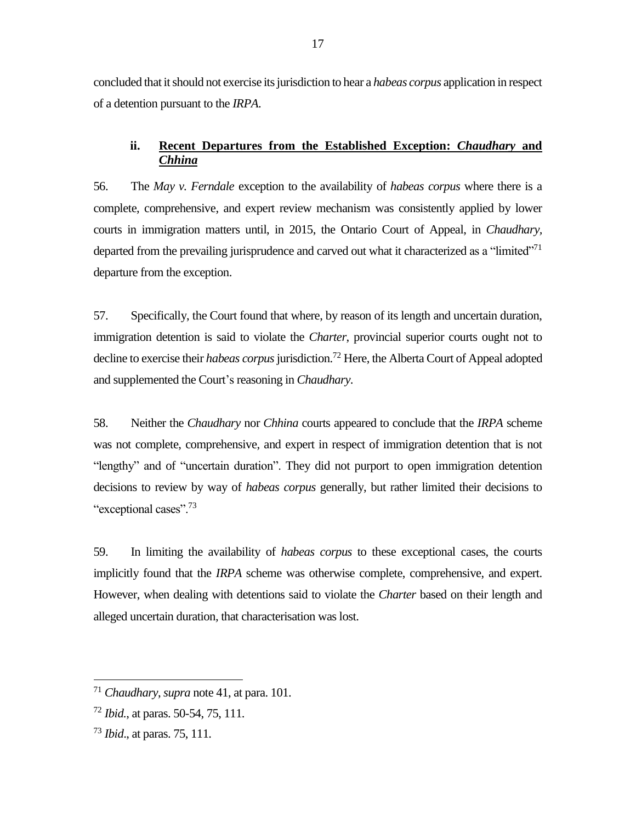concluded that it should not exercise its jurisdiction to hear a *habeas corpus* application in respect of a detention pursuant to the *IRPA*.

## <span id="page-20-0"></span>**ii. Recent Departures from the Established Exception:** *Chaudhary* **and**  *Chhina*

56. The *May v. Ferndale* exception to the availability of *habeas corpus* where there is a complete, comprehensive, and expert review mechanism was consistently applied by lower courts in immigration matters until, in 2015, the Ontario Court of Appeal, in *Chaudhary,* departed from the prevailing jurisprudence and carved out what it characterized as a "limited"<sup>71</sup> departure from the exception.

57. Specifically, the Court found that where, by reason of its length and uncertain duration, immigration detention is said to violate the *Charter*, provincial superior courts ought not to decline to exercise their *habeas corpus* jurisdiction.<sup>72</sup> Here, the Alberta Court of Appeal adopted and supplemented the Court's reasoning in *Chaudhary*.

58. Neither the *Chaudhary* nor *Chhina* courts appeared to conclude that the *IRPA* scheme was not complete, comprehensive, and expert in respect of immigration detention that is not "lengthy" and of "uncertain duration". They did not purport to open immigration detention decisions to review by way of *habeas corpus* generally, but rather limited their decisions to "exceptional cases".<sup>73</sup>

59. In limiting the availability of *habeas corpus* to these exceptional cases, the courts implicitly found that the *IRPA* scheme was otherwise complete, comprehensive, and expert. However, when dealing with detentions said to violate the *Charter* based on their length and alleged uncertain duration*,* that characterisation was lost.

<sup>71</sup> *Chaudhary*, *supra* note 41, at para. 101.

<sup>72</sup> *Ibid.*, at paras. 50-54, 75, 111.

<sup>73</sup> *Ibid*., at paras. 75, 111.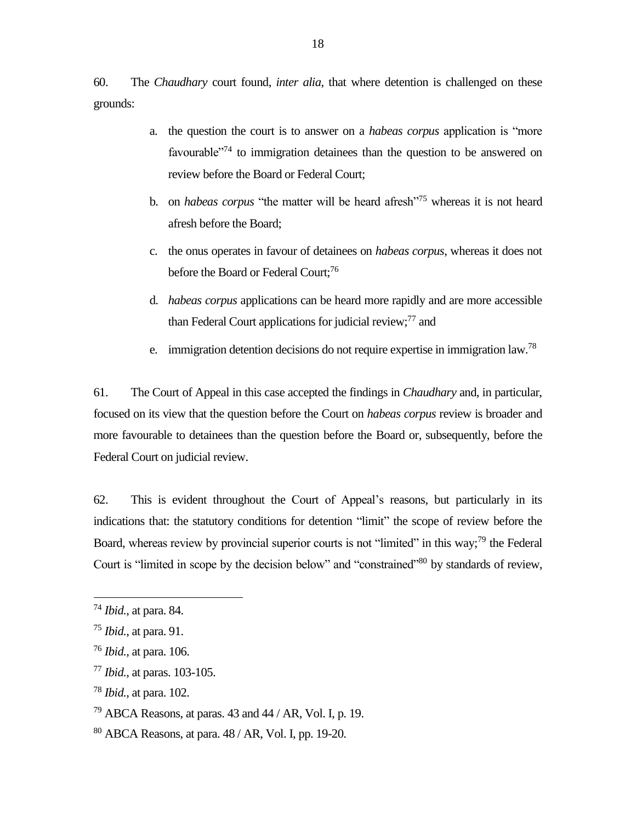60. The *Chaudhary* court found, *inter alia*, that where detention is challenged on these grounds:

- a. the question the court is to answer on a *habeas corpus* application is "more favourable<sup>"74</sup> to immigration detainees than the question to be answered on review before the Board or Federal Court;
- b. on *habeas corpus* "the matter will be heard afresh"<sup>75</sup> whereas it is not heard afresh before the Board;
- c. the onus operates in favour of detainees on *habeas corpus*, whereas it does not before the Board or Federal Court; 76
- d. *habeas corpus* applications can be heard more rapidly and are more accessible than Federal Court applications for judicial review;<sup>77</sup> and
- e. immigration detention decisions do not require expertise in immigration law.<sup>78</sup>

61. The Court of Appeal in this case accepted the findings in *Chaudhary* and, in particular, focused on its view that the question before the Court on *habeas corpus* review is broader and more favourable to detainees than the question before the Board or, subsequently, before the Federal Court on judicial review.

62. This is evident throughout the Court of Appeal's reasons, but particularly in its indications that: the statutory conditions for detention "limit" the scope of review before the Board, whereas review by provincial superior courts is not "limited" in this way;<sup>79</sup> the Federal Court is "limited in scope by the decision below" and "constrained"<sup>80</sup> by standards of review,

<sup>74</sup> *Ibid.*, at para. 84.

<sup>75</sup> *Ibid.*, at para. 91.

<sup>76</sup> *Ibid.*, at para. 106.

<sup>77</sup> *Ibid.*, at paras. 103-105.

<sup>78</sup> *Ibid.*, at para. 102.

 $79$  ABCA Reasons, at paras. 43 and 44 / AR, Vol. I, p. 19.

<sup>80</sup> ABCA Reasons, at para. 48 / AR, Vol. I, pp. 19-20.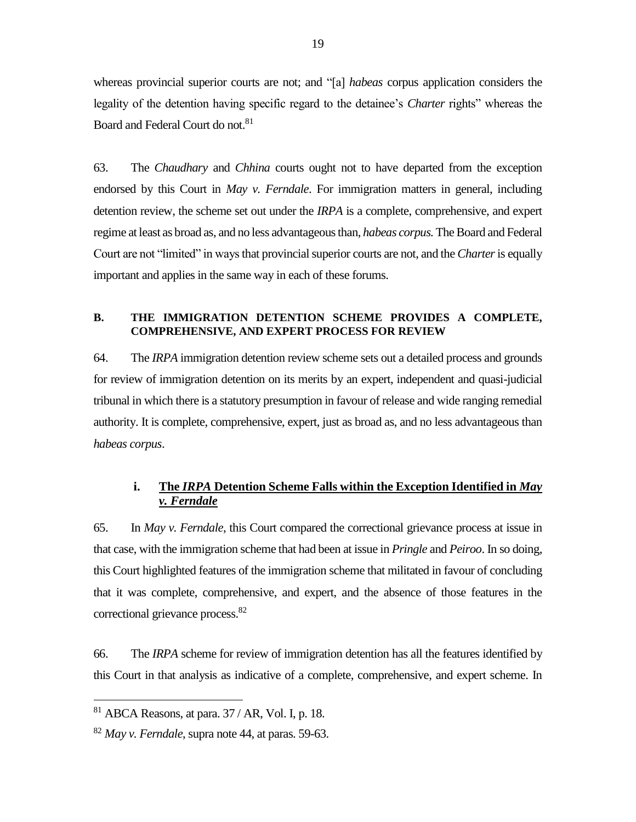whereas provincial superior courts are not; and "[a] *habeas* corpus application considers the legality of the detention having specific regard to the detainee's *Charter* rights" whereas the Board and Federal Court do not. 81

63. The *Chaudhary* and *Chhina* courts ought not to have departed from the exception endorsed by this Court in *May v. Ferndale*. For immigration matters in general, including detention review, the scheme set out under the *IRPA* is a complete, comprehensive, and expert regime at least as broad as, and no less advantageous than, *habeas corpus.* The Board and Federal Court are not "limited" in ways that provincial superior courts are not, and the *Charter*is equally important and applies in the same way in each of these forums.

#### <span id="page-22-0"></span>**B. THE IMMIGRATION DETENTION SCHEME PROVIDES A COMPLETE, COMPREHENSIVE, AND EXPERT PROCESS FOR REVIEW**

64. The *IRPA* immigration detention review scheme sets out a detailed process and grounds for review of immigration detention on its merits by an expert, independent and quasi-judicial tribunal in which there is a statutory presumption in favour of release and wide ranging remedial authority. It is complete, comprehensive, expert, just as broad as, and no less advantageous than *habeas corpus*.

## <span id="page-22-1"></span>**i. The** *IRPA* **Detention Scheme Falls within the Exception Identified in** *May v. Ferndale*

65. In *May v. Ferndale*, this Court compared the correctional grievance process at issue in that case, with the immigration scheme that had been at issue in *Pringle* and *Peiroo*. In so doing, this Court highlighted features of the immigration scheme that militated in favour of concluding that it was complete, comprehensive, and expert, and the absence of those features in the correctional grievance process.<sup>82</sup>

66. The *IRPA* scheme for review of immigration detention has all the features identified by this Court in that analysis as indicative of a complete, comprehensive, and expert scheme. In

 $81$  ABCA Reasons, at para. 37 / AR, Vol. I, p. 18.

<sup>82</sup> *May v. Ferndale*, supra note 44, at paras. 59-63.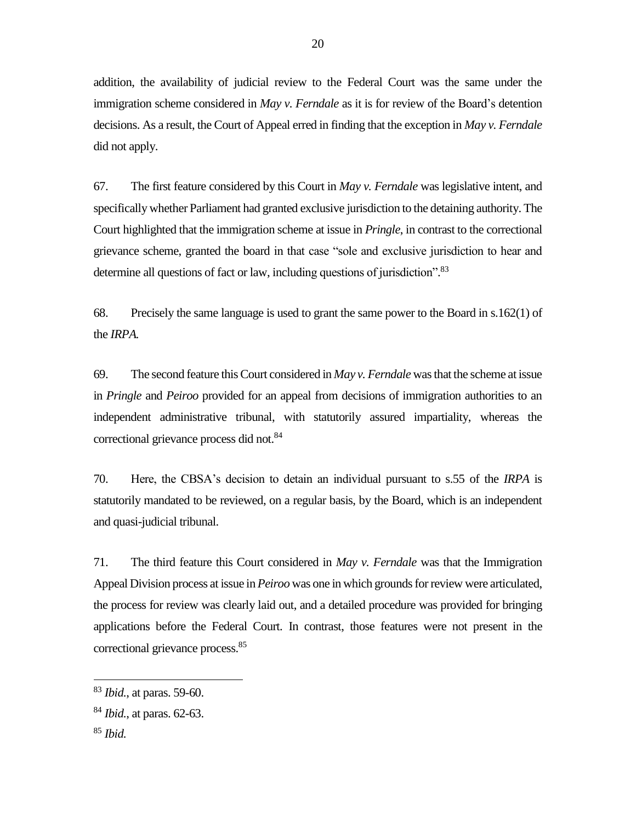addition, the availability of judicial review to the Federal Court was the same under the immigration scheme considered in *May v. Ferndale* as it is for review of the Board's detention decisions. As a result, the Court of Appeal erred in finding that the exception in *May v. Ferndale* did not apply.

67. The first feature considered by this Court in *May v. Ferndale* was legislative intent, and specifically whether Parliament had granted exclusive jurisdiction to the detaining authority. The Court highlighted that the immigration scheme at issue in *Pringle*, in contrast to the correctional grievance scheme, granted the board in that case "sole and exclusive jurisdiction to hear and determine all questions of fact or law, including questions of jurisdiction".<sup>83</sup>

68. Precisely the same language is used to grant the same power to the Board in s.162(1) of the *IRPA.*

69. The second feature this Court considered in *May v. Ferndale* was that the scheme at issue in *Pringle* and *Peiroo* provided for an appeal from decisions of immigration authorities to an independent administrative tribunal, with statutorily assured impartiality, whereas the correctional grievance process did not.<sup>84</sup>

70. Here, the CBSA's decision to detain an individual pursuant to s.55 of the *IRPA* is statutorily mandated to be reviewed, on a regular basis, by the Board, which is an independent and quasi-judicial tribunal.

71. The third feature this Court considered in *May v. Ferndale* was that the Immigration Appeal Division process at issue in *Peiroo* was one in which grounds for review were articulated, the process for review was clearly laid out, and a detailed procedure was provided for bringing applications before the Federal Court. In contrast, those features were not present in the correctional grievance process. 85

<sup>83</sup> *Ibid.*, at paras. 59-60.

<sup>84</sup> *Ibid.*, at paras. 62-63.

<sup>85</sup> *Ibid.*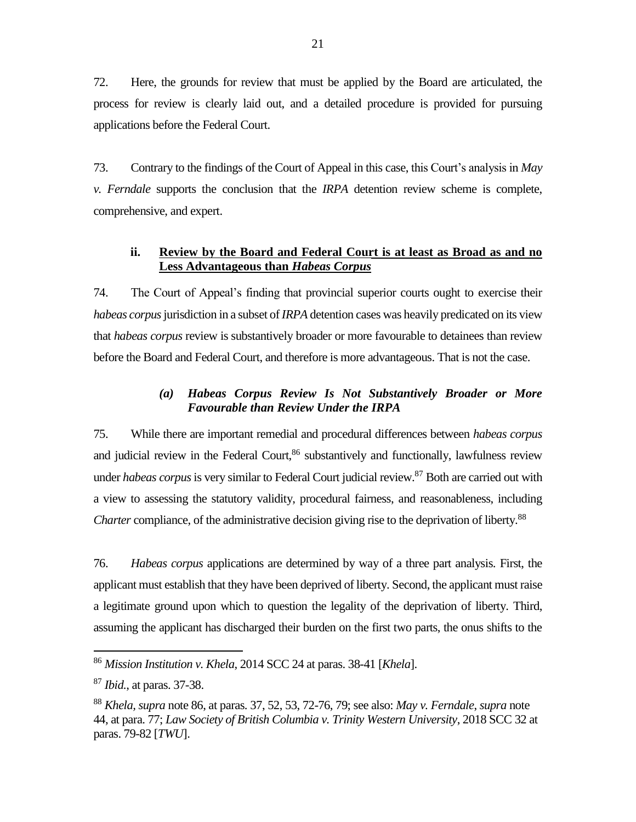72. Here, the grounds for review that must be applied by the Board are articulated, the process for review is clearly laid out, and a detailed procedure is provided for pursuing applications before the Federal Court.

73. Contrary to the findings of the Court of Appeal in this case, this Court's analysis in *May v. Ferndale* supports the conclusion that the *IRPA* detention review scheme is complete, comprehensive, and expert.

## <span id="page-24-0"></span>**ii. Review by the Board and Federal Court is at least as Broad as and no Less Advantageous than** *Habeas Corpus*

74. The Court of Appeal's finding that provincial superior courts ought to exercise their *habeas corpus*jurisdiction in a subset of *IRPA* detention cases was heavily predicated on its view that *habeas corpus* review is substantively broader or more favourable to detainees than review before the Board and Federal Court, and therefore is more advantageous. That is not the case.

## *(a) Habeas Corpus Review Is Not Substantively Broader or More Favourable than Review Under the IRPA*

<span id="page-24-1"></span>75. While there are important remedial and procedural differences between *habeas corpus* and judicial review in the Federal Court,<sup>86</sup> substantively and functionally, lawfulness review under *habeas corpus*is very similar to Federal Court judicial review.<sup>87</sup> Both are carried out with a view to assessing the statutory validity, procedural fairness, and reasonableness, including *Charter* compliance, of the administrative decision giving rise to the deprivation of liberty.<sup>88</sup>

76. *Habeas corpus* applications are determined by way of a three part analysis. First, the applicant must establish that they have been deprived of liberty. Second, the applicant must raise a legitimate ground upon which to question the legality of the deprivation of liberty. Third, assuming the applicant has discharged their burden on the first two parts, the onus shifts to the

<sup>86</sup> *Mission Institution v. Khela*, 2014 SCC 24 at paras. 38-41 [*Khela*].

<sup>87</sup> *Ibid.*, at paras. 37-38.

<sup>88</sup> *Khela, supra* note 86, at paras. 37, 52, 53, 72-76, 79; see also: *May v. Ferndale*, *supra* note 44, at para. 77; *Law Society of British Columbia v. Trinity Western University*, 2018 SCC 32 at paras. 79-82 [*TWU*].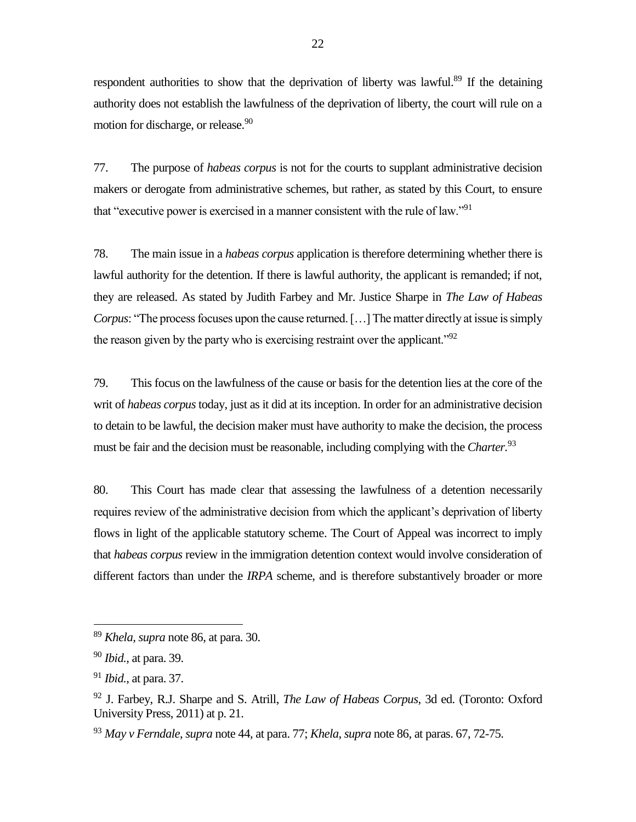respondent authorities to show that the deprivation of liberty was lawful.<sup>89</sup> If the detaining authority does not establish the lawfulness of the deprivation of liberty, the court will rule on a motion for discharge, or release.<sup>90</sup>

77. The purpose of *habeas corpus* is not for the courts to supplant administrative decision makers or derogate from administrative schemes, but rather, as stated by this Court, to ensure that "executive power is exercised in a manner consistent with the rule of law."<sup>91</sup>

78. The main issue in a *habeas corpus* application is therefore determining whether there is lawful authority for the detention. If there is lawful authority, the applicant is remanded; if not, they are released. As stated by Judith Farbey and Mr. Justice Sharpe in *The Law of Habeas Corpus*: "The process focuses upon the cause returned. […] The matter directly at issue is simply the reason given by the party who is exercising restraint over the applicant."<sup>92</sup>

79. This focus on the lawfulness of the cause or basis for the detention lies at the core of the writ of *habeas corpus*today, just as it did at its inception. In order for an administrative decision to detain to be lawful, the decision maker must have authority to make the decision, the process must be fair and the decision must be reasonable, including complying with the *Charter.*<sup>93</sup>

80. This Court has made clear that assessing the lawfulness of a detention necessarily requires review of the administrative decision from which the applicant's deprivation of liberty flows in light of the applicable statutory scheme. The Court of Appeal was incorrect to imply that *habeas corpus* review in the immigration detention context would involve consideration of different factors than under the *IRPA* scheme, and is therefore substantively broader or more

<sup>89</sup> *Khela, supra* note 86, at para. 30.

<sup>90</sup> *Ibid.*, at para. 39.

<sup>91</sup> *Ibid.*, at para. 37.

<sup>92</sup> J. Farbey, R.J. Sharpe and S. Atrill, *The Law of Habeas Corpus*, 3d ed. (Toronto: Oxford University Press, 2011) at p. 21.

<sup>93</sup> *May v Ferndale*, *supra* note 44, at para. 77; *Khela*, *supra* note 86, at paras. 67, 72-75.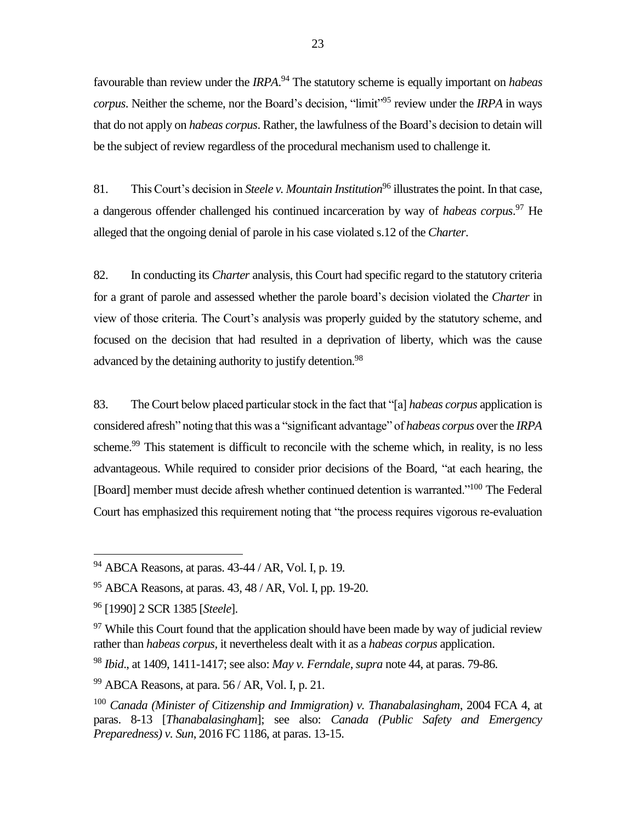favourable than review under the *IRPA*. <sup>94</sup> The statutory scheme is equally important on *habeas corpus*. Neither the scheme, nor the Board's decision, "limit"<sup>95</sup> review under the *IRPA* in ways that do not apply on *habeas corpus*. Rather, the lawfulness of the Board's decision to detain will be the subject of review regardless of the procedural mechanism used to challenge it.

81. This Court's decision in *Steele v. Mountain Institution*<sup>96</sup> illustrates the point. In that case, a dangerous offender challenged his continued incarceration by way of *habeas corpus*. <sup>97</sup> He alleged that the ongoing denial of parole in his case violated s.12 of the *Charter*.

82. In conducting its *Charter* analysis, this Court had specific regard to the statutory criteria for a grant of parole and assessed whether the parole board's decision violated the *Charter* in view of those criteria. The Court's analysis was properly guided by the statutory scheme, and focused on the decision that had resulted in a deprivation of liberty, which was the cause advanced by the detaining authority to justify detention.<sup>98</sup>

83. The Court below placed particular stock in the fact that "[a] *habeas corpus* application is considered afresh" noting that this was a "significant advantage" of *habeas corpus* over the *IRPA* scheme.<sup>99</sup> This statement is difficult to reconcile with the scheme which, in reality, is no less advantageous. While required to consider prior decisions of the Board, "at each hearing, the [Board] member must decide afresh whether continued detention is warranted."<sup>100</sup> The Federal Court has emphasized this requirement noting that "the process requires vigorous re-evaluation

 $\overline{a}$ 

<sup>98</sup> *Ibid*., at 1409, 1411-1417; see also: *May v. Ferndale*, *supra* note 44, at paras. 79-86.

 $94$  ABCA Reasons, at paras.  $43-44$  / AR, Vol. I, p. 19.

<sup>95</sup> ABCA Reasons, at paras. 43, 48 / AR, Vol. I, pp. 19-20.

<sup>96</sup> [1990] 2 SCR 1385 [*Steele*].

 $97$  While this Court found that the application should have been made by way of judicial review rather than *habeas corpus,* it nevertheless dealt with it as a *habeas corpus* application.

 $99$  ABCA Reasons, at para. 56 / AR, Vol. I, p. 21.

<sup>100</sup> *Canada (Minister of Citizenship and Immigration) v. Thanabalasingham*, 2004 FCA 4, at paras. 8-13 [*Thanabalasingham*]; see also: *Canada (Public Safety and Emergency Preparedness) v. Sun*, 2016 FC 1186, at paras. 13-15.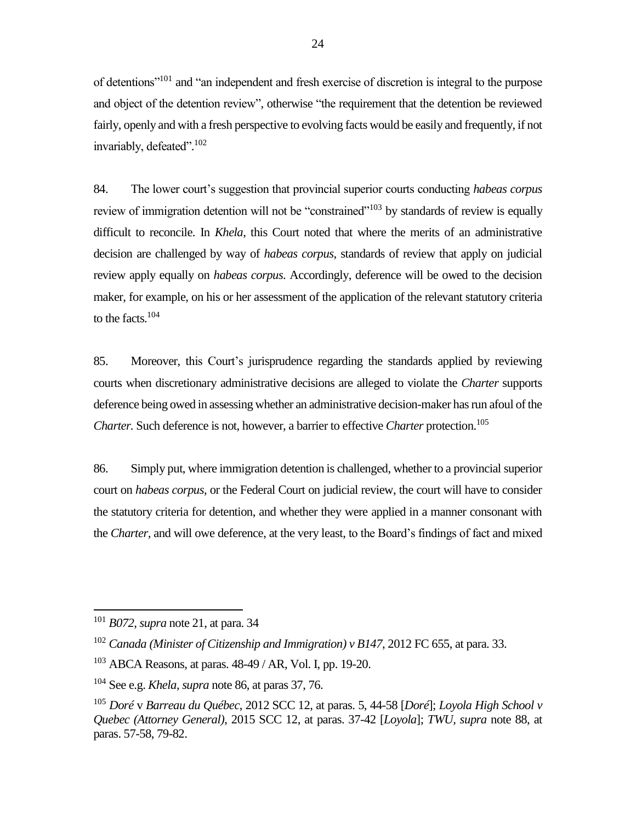of detentions"<sup>101</sup> and "an independent and fresh exercise of discretion is integral to the purpose and object of the detention review", otherwise "the requirement that the detention be reviewed fairly, openly and with a fresh perspective to evolving facts would be easily and frequently, if not invariably, defeated".<sup>102</sup>

84. The lower court's suggestion that provincial superior courts conducting *habeas corpus* review of immigration detention will not be "constrained"<sup>103</sup> by standards of review is equally difficult to reconcile. In *Khela*, this Court noted that where the merits of an administrative decision are challenged by way of *habeas corpus*, standards of review that apply on judicial review apply equally on *habeas corpus*. Accordingly, deference will be owed to the decision maker, for example, on his or her assessment of the application of the relevant statutory criteria to the facts. $104$ 

85. Moreover, this Court's jurisprudence regarding the standards applied by reviewing courts when discretionary administrative decisions are alleged to violate the *Charter* supports deference being owed in assessing whether an administrative decision-maker has run afoul of the *Charter.* Such deference is not, however, a barrier to effective *Charter* protection. 105

86. Simply put, where immigration detention is challenged, whether to a provincial superior court on *habeas corpus*, or the Federal Court on judicial review, the court will have to consider the statutory criteria for detention, and whether they were applied in a manner consonant with the *Charter,* and will owe deference, at the very least, to the Board's findings of fact and mixed

<sup>101</sup> *B072*, *supra* note 21, at para. 34

<sup>102</sup> *Canada (Minister of Citizenship and Immigration) v B147*, 2012 FC 655, at para. 33.

 $103$  ABCA Reasons, at paras.  $48-49$  / AR, Vol. I, pp. 19-20.

<sup>104</sup> See e.g. *Khela*, *supra* note 86, at paras 37, 76.

<sup>105</sup> *Doré* v *Barreau du Québec*, 2012 SCC 12, at paras. 5, 44-58 [*Doré*]; *Loyola High School v Quebec (Attorney General)*, 2015 SCC 12, at paras. 37-42 [*Loyola*]; *TWU, supra* note 88, at paras. 57-58, 79-82.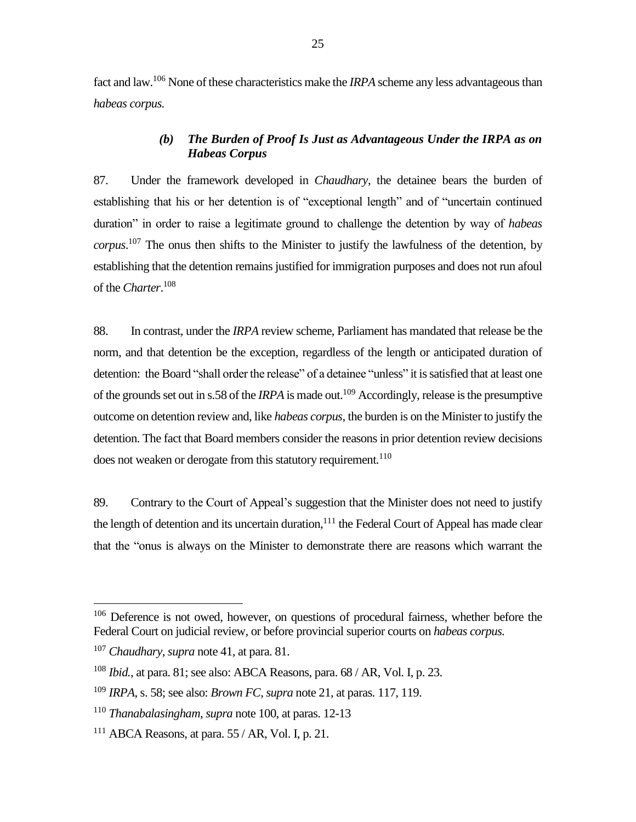fact and law.<sup>106</sup> None of these characteristics make the *IRPA* scheme any less advantageous than *habeas corpus.*

## *(b) The Burden of Proof Is Just as Advantageous Under the IRPA as on Habeas Corpus*

<span id="page-28-0"></span>87. Under the framework developed in *Chaudhary*, the detainee bears the burden of establishing that his or her detention is of "exceptional length" and of "uncertain continued duration" in order to raise a legitimate ground to challenge the detention by way of *habeas corpus*. <sup>107</sup> The onus then shifts to the Minister to justify the lawfulness of the detention, by establishing that the detention remains justified for immigration purposes and does not run afoul of the *Charter*. 108

88. In contrast, under the *IRPA* review scheme, Parliament has mandated that release be the norm, and that detention be the exception, regardless of the length or anticipated duration of detention: the Board "shall order the release" of a detainee "unless" it is satisfied that at least one of the grounds set out in s.58 of the *IRPA* is made out.<sup>109</sup> Accordingly, release is the presumptive outcome on detention review and, like *habeas corpus*, the burden is on the Minister to justify the detention. The fact that Board members consider the reasons in prior detention review decisions does not weaken or derogate from this statutory requirement.<sup>110</sup>

89. Contrary to the Court of Appeal's suggestion that the Minister does not need to justify the length of detention and its uncertain duration,  $111$  the Federal Court of Appeal has made clear that the "onus is always on the Minister to demonstrate there are reasons which warrant the

<sup>&</sup>lt;sup>106</sup> Deference is not owed, however, on questions of procedural fairness, whether before the Federal Court on judicial review, or before provincial superior courts on *habeas corpus.*

<sup>107</sup> *Chaudhary, supra* note 41*,* at para. 81.

<sup>108</sup> *Ibid.*, at para. 81; see also: ABCA Reasons, para. 68 / AR, Vol. I, p. 23.

<sup>109</sup> *IRPA*, s. 58; see also: *Brown FC*, *supra* note 21, at paras. 117, 119.

<sup>110</sup> *Thanabalasingham*, *supra* note 100, at paras. 12-13

<sup>111</sup> ABCA Reasons*,* at para. 55 / AR, Vol. I, p. 21.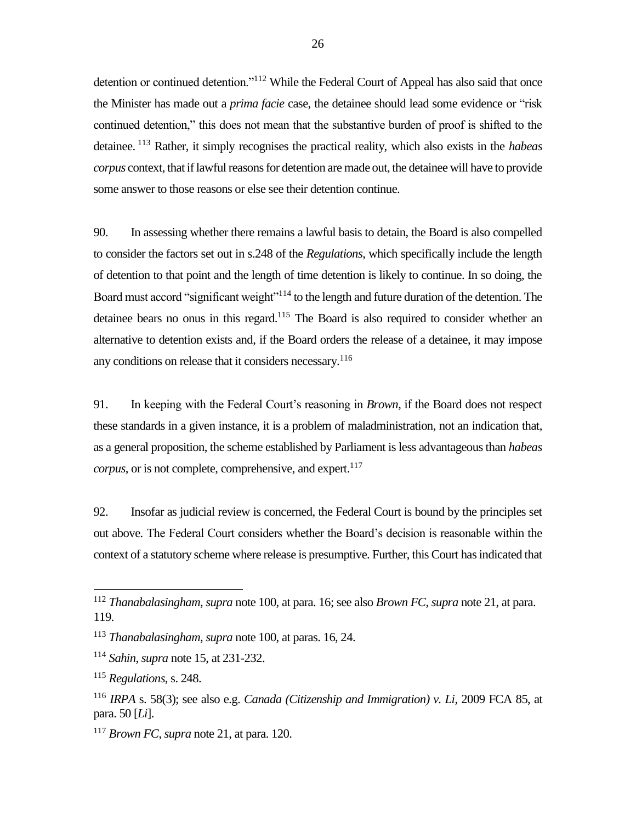detention or continued detention."<sup>112</sup> While the Federal Court of Appeal has also said that once the Minister has made out a *prima facie* case, the detainee should lead some evidence or "risk continued detention," this does not mean that the substantive burden of proof is shifted to the detainee. <sup>113</sup> Rather, it simply recognises the practical reality, which also exists in the *habeas corpus* context, that if lawful reasons for detention are made out, the detainee will have to provide some answer to those reasons or else see their detention continue.

90. In assessing whether there remains a lawful basis to detain, the Board is also compelled to consider the factors set out in s.248 of the *Regulations*, which specifically include the length of detention to that point and the length of time detention is likely to continue. In so doing, the Board must accord "significant weight"<sup>114</sup> to the length and future duration of the detention. The detainee bears no onus in this regard.<sup>115</sup> The Board is also required to consider whether an alternative to detention exists and, if the Board orders the release of a detainee, it may impose any conditions on release that it considers necessary.<sup>116</sup>

91. In keeping with the Federal Court's reasoning in *Brown*, if the Board does not respect these standards in a given instance, it is a problem of maladministration, not an indication that, as a general proposition, the scheme established by Parliament is less advantageous than *habeas corpus*, or is not complete, comprehensive, and expert.<sup>117</sup>

92. Insofar as judicial review is concerned, the Federal Court is bound by the principles set out above. The Federal Court considers whether the Board's decision is reasonable within the context of a statutory scheme where release is presumptive. Further, this Court has indicated that

<sup>112</sup> *Thanabalasingham*, *supra* note 100, at para. 16; see also *Brown FC*, *supra* note 21, at para. 119.

<sup>113</sup> *Thanabalasingham*, *supra* note 100, at paras. 16, 24.

<sup>114</sup> *Sahin*, *supra* note 15, at 231-232.

<sup>115</sup> *Regulations*, s. 248.

<sup>116</sup> *IRPA* s. 58(3); see also e.g. *Canada (Citizenship and Immigration) v. Li*, 2009 FCA 85, at para. 50 [*Li*].

<sup>117</sup> *Brown FC*, *supra* note 21, at para. 120.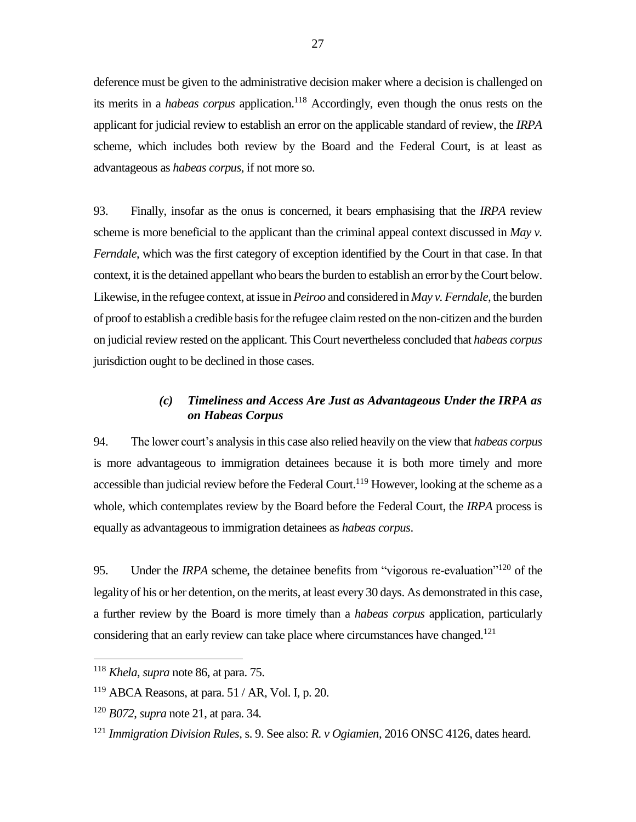deference must be given to the administrative decision maker where a decision is challenged on its merits in a *habeas corpus* application.<sup>118</sup> Accordingly, even though the onus rests on the applicant for judicial review to establish an error on the applicable standard of review, the *IRPA* scheme, which includes both review by the Board and the Federal Court, is at least as advantageous as *habeas corpus*, if not more so.

93. Finally, insofar as the onus is concerned, it bears emphasising that the *IRPA* review scheme is more beneficial to the applicant than the criminal appeal context discussed in *May v. Ferndale*, which was the first category of exception identified by the Court in that case. In that context, it is the detained appellant who bears the burden to establish an error by the Court below. Likewise, in the refugee context, at issue in *Peiroo* and considered in *May v. Ferndale*, the burden of proof to establish a credible basis for the refugee claim rested on the non-citizen and the burden on judicial review rested on the applicant. This Court nevertheless concluded that *habeas corpus* jurisdiction ought to be declined in those cases.

## *(c) Timeliness and Access Are Just as Advantageous Under the IRPA as on Habeas Corpus*

<span id="page-30-0"></span>94. The lower court's analysis in this case also relied heavily on the view that *habeas corpus* is more advantageous to immigration detainees because it is both more timely and more accessible than judicial review before the Federal Court.<sup>119</sup> However, looking at the scheme as a whole, which contemplates review by the Board before the Federal Court, the *IRPA* process is equally as advantageous to immigration detainees as *habeas corpus*.

95. Under the *IRPA* scheme, the detainee benefits from "vigorous re-evaluation"<sup>120</sup> of the legality of his or her detention, on the merits, at least every 30 days. As demonstrated in this case, a further review by the Board is more timely than a *habeas corpus* application, particularly considering that an early review can take place where circumstances have changed.<sup>121</sup>

<sup>118</sup> *Khela*, *supra* note 86, at para. 75.

 $119$  ABCA Reasons, at para. 51 / AR, Vol. I, p. 20.

<sup>120</sup> *B072*, *supra* note 21, at para. 34.

<sup>121</sup> *Immigration Division Rules*, s. 9. See also: *R. v Ogiamien*, 2016 ONSC 4126, dates heard.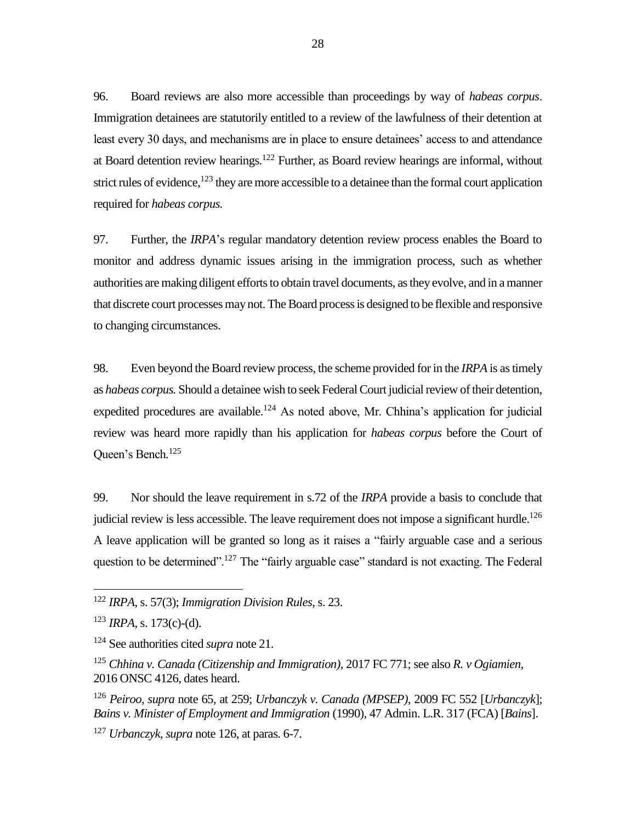96. Board reviews are also more accessible than proceedings by way of *habeas corpus*. Immigration detainees are statutorily entitled to a review of the lawfulness of their detention at least every 30 days, and mechanisms are in place to ensure detainees' access to and attendance at Board detention review hearings.<sup>122</sup> Further, as Board review hearings are informal, without strict rules of evidence,  $123$  they are more accessible to a detainee than the formal court application required for *habeas corpus.*

97. Further, the *IRPA*'s regular mandatory detention review process enables the Board to monitor and address dynamic issues arising in the immigration process, such as whether authorities are making diligent efforts to obtain travel documents, as they evolve, and in a manner that discrete court processesmay not. The Board process is designed to be flexible and responsive to changing circumstances.

98. Even beyond the Board review process, the scheme provided for in the *IRPA* is as timely as *habeas corpus.* Should a detainee wish to seek Federal Court judicial review of their detention, expedited procedures are available.<sup>124</sup> As noted above, Mr. Chhina's application for judicial review was heard more rapidly than his application for *habeas corpus* before the Court of Queen's Bench*.* 125

99. Nor should the leave requirement in s.72 of the *IRPA* provide a basis to conclude that judicial review is less accessible. The leave requirement does not impose a significant hurdle.<sup>126</sup> A leave application will be granted so long as it raises a "fairly arguable case and a serious question to be determined".<sup>127</sup> The "fairly arguable case" standard is not exacting. The Federal

<sup>122</sup> *IRPA*, s. 57(3); *Immigration Division Rules*, s. 23.

 $123$  *IRPA*, s. 173(c)-(d).

<sup>124</sup> See authorities cited *supra* note 21.

<sup>125</sup> *Chhina v. Canada (Citizenship and Immigration)*, 2017 FC 771; see also *R. v Ogiamien*, 2016 ONSC 4126, dates heard.

<sup>126</sup> *Peiroo*, *supra* note 65, at 259; *Urbanczyk v. Canada (MPSEP)*, 2009 FC 552 [*Urbanczyk*]; *Bains v. Minister of Employment and Immigration* (1990), 47 Admin. L.R. 317 (FCA) [*Bains*].

<sup>127</sup> *Urbanczyk*, *supra* note 126, at paras. 6-7.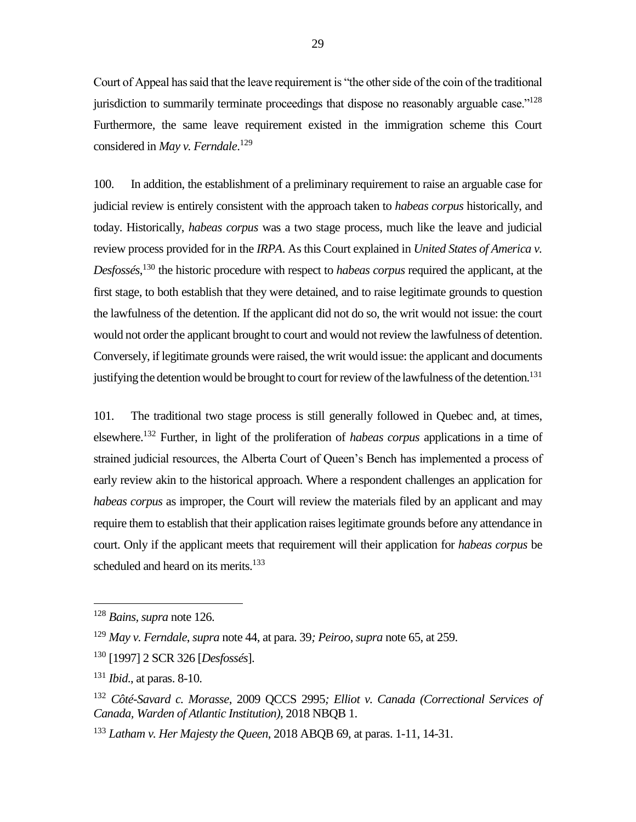Court of Appeal has said that the leave requirement is "the other side of the coin of the traditional jurisdiction to summarily terminate proceedings that dispose no reasonably arguable case."<sup>128</sup> Furthermore, the same leave requirement existed in the immigration scheme this Court considered in *May v. Ferndale*. 129

100. In addition, the establishment of a preliminary requirement to raise an arguable case for judicial review is entirely consistent with the approach taken to *habeas corpus* historically, and today. Historically, *habeas corpus* was a two stage process, much like the leave and judicial review process provided for in the *IRPA*. As this Court explained in *United States of America v. Desfossés*, <sup>130</sup> the historic procedure with respect to *habeas corpus* required the applicant, at the first stage, to both establish that they were detained, and to raise legitimate grounds to question the lawfulness of the detention. If the applicant did not do so, the writ would not issue: the court would not order the applicant brought to court and would not review the lawfulness of detention. Conversely, if legitimate grounds were raised, the writ would issue: the applicant and documents justifying the detention would be brought to court for review of the lawfulness of the detention.<sup>131</sup>

101. The traditional two stage process is still generally followed in Quebec and, at times, elsewhere.<sup>132</sup> Further, in light of the proliferation of *habeas corpus* applications in a time of strained judicial resources, the Alberta Court of Queen's Bench has implemented a process of early review akin to the historical approach. Where a respondent challenges an application for *habeas corpus* as improper, the Court will review the materials filed by an applicant and may require them to establish that their application raises legitimate grounds before any attendance in court. Only if the applicant meets that requirement will their application for *habeas corpus* be scheduled and heard on its merits.<sup>133</sup>

<sup>128</sup> *Bains, supra* note 126.

<sup>129</sup> *May v. Ferndale*, *supra* note 44, at para. 39*; Peiroo*, *supra* note 65, at 259.

<sup>130</sup> [1997] 2 SCR 326 [*Desfossés*].

<sup>131</sup> *Ibid*., at paras. 8-10.

<sup>132</sup> *Côté-Savard c. Morasse*, 2009 QCCS 2995*; Elliot v. Canada (Correctional Services of Canada, Warden of Atlantic Institution)*, 2018 NBQB 1.

<sup>133</sup> *Latham v. Her Majesty the Queen*, 2018 ABQB 69, at paras. 1-11, 14-31.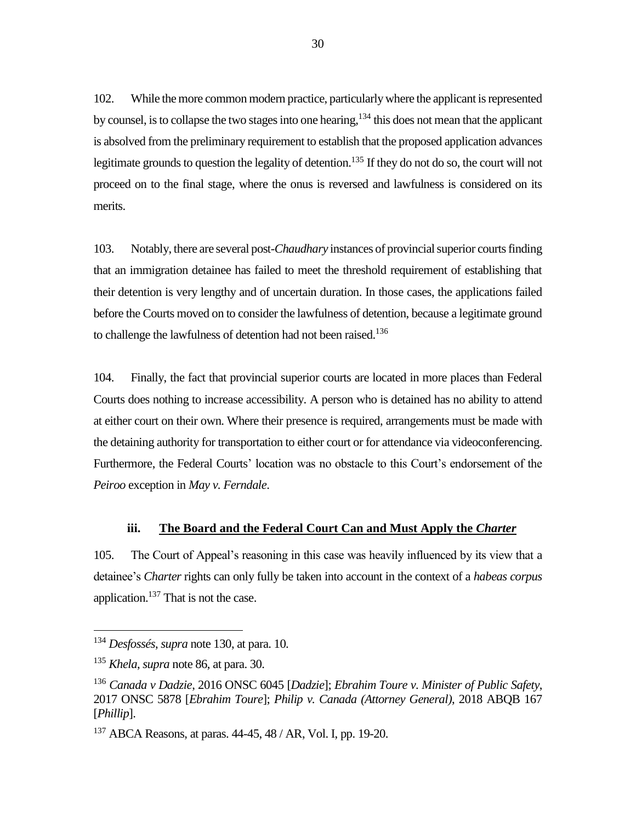102. While the more common modern practice, particularly where the applicant is represented by counsel, is to collapse the two stages into one hearing, <sup>134</sup> this does not mean that the applicant is absolved from the preliminary requirement to establish that the proposed application advances legitimate grounds to question the legality of detention.<sup>135</sup> If they do not do so, the court will not proceed on to the final stage, where the onus is reversed and lawfulness is considered on its merits.

103. Notably, there are several post-*Chaudhary* instances of provincial superior courts finding that an immigration detainee has failed to meet the threshold requirement of establishing that their detention is very lengthy and of uncertain duration. In those cases, the applications failed before the Courts moved on to consider the lawfulness of detention, because a legitimate ground to challenge the lawfulness of detention had not been raised.<sup>136</sup>

104. Finally, the fact that provincial superior courts are located in more places than Federal Courts does nothing to increase accessibility. A person who is detained has no ability to attend at either court on their own. Where their presence is required, arrangements must be made with the detaining authority for transportation to either court or for attendance via videoconferencing. Furthermore, the Federal Courts' location was no obstacle to this Court's endorsement of the *Peiroo* exception in *May v. Ferndale*.

#### **iii. The Board and the Federal Court Can and Must Apply the** *Charter*

<span id="page-33-0"></span>105. The Court of Appeal's reasoning in this case was heavily influenced by its view that a detainee's *Charter* rights can only fully be taken into account in the context of a *habeas corpus* application.<sup>137</sup> That is not the case.

<sup>134</sup> *Desfossés*, *supra* note 130, at para. 10.

<sup>135</sup> *Khela*, *supra* note 86, at para. 30.

<sup>136</sup> *Canada v Dadzie*, 2016 ONSC 6045 [*Dadzie*]; *Ebrahim Toure v. Minister of Public Safety*, 2017 ONSC 5878 [*Ebrahim Toure*]; *Philip v. Canada (Attorney General)*, 2018 ABQB 167 [*Phillip*].

 $137$  ABCA Reasons, at paras.  $44-45$ ,  $48$  / AR, Vol. I, pp. 19-20.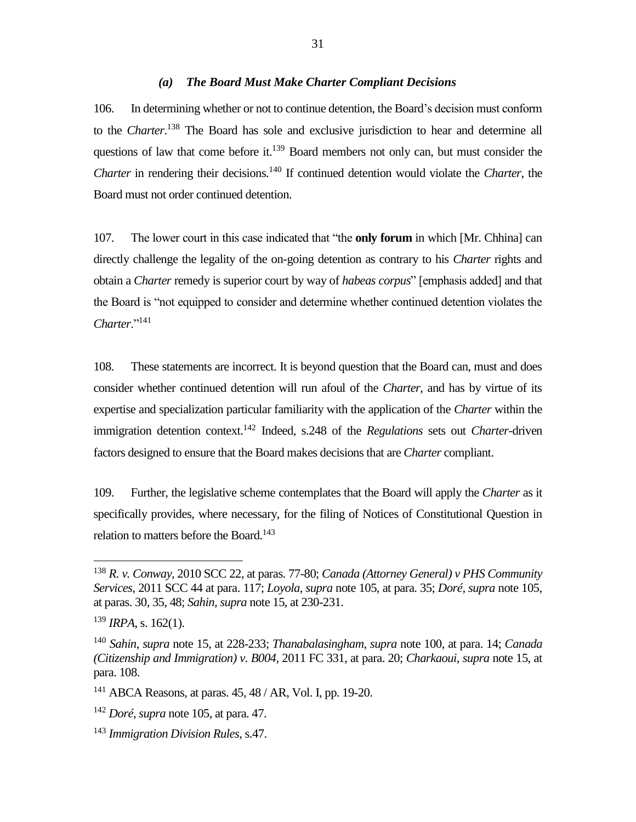#### *(a) The Board Must Make Charter Compliant Decisions*

<span id="page-34-0"></span>106. In determining whether or not to continue detention, the Board's decision must conform to the *Charter*. <sup>138</sup> The Board has sole and exclusive jurisdiction to hear and determine all questions of law that come before it.<sup>139</sup> Board members not only can, but must consider the *Charter* in rendering their decisions.<sup>140</sup> If continued detention would violate the *Charter*, the Board must not order continued detention.

107. The lower court in this case indicated that "the **only forum** in which [Mr. Chhina] can directly challenge the legality of the on-going detention as contrary to his *Charter* rights and obtain a *Charter* remedy is superior court by way of *habeas corpus*" [emphasis added] and that the Board is "not equipped to consider and determine whether continued detention violates the *Charter*."<sup>141</sup>

108. These statements are incorrect. It is beyond question that the Board can, must and does consider whether continued detention will run afoul of the *Charter*, and has by virtue of its expertise and specialization particular familiarity with the application of the *Charter* within the immigration detention context.<sup>142</sup> Indeed, s.248 of the *Regulations* sets out *Charter*-driven factors designed to ensure that the Board makes decisions that are *Charter* compliant.

109. Further, the legislative scheme contemplates that the Board will apply the *Charter* as it specifically provides, where necessary, for the filing of Notices of Constitutional Question in relation to matters before the Board.<sup>143</sup>

<sup>138</sup> *R. v. Conway,* 2010 SCC 22, at paras. 77-80; *Canada (Attorney General) v PHS Community Services*, 2011 SCC 44 at para. 117; *Loyola, supra* note 105*,* at para. 35; *Doré, supra* note 105, at paras. 30, 35, 48; *Sahin, supra* note 15, at 230-231.

 $139$  *IRPA*, s. 162(1).

<sup>140</sup> *Sahin*, *supra* note 15, at 228-233; *Thanabalasingham*, *supra* note 100, at para. 14; *Canada (Citizenship and Immigration) v. B004*, 2011 FC 331, at para. 20; *Charkaoui*, *supra* note 15, at para. 108.

<sup>141</sup> ABCA Reasons, at paras. 45, 48 / AR, Vol. I, pp. 19-20.

<sup>142</sup> *Doré*, *supra* note 105, at para. 47.

<sup>143</sup> *Immigration Division Rules*, s.47.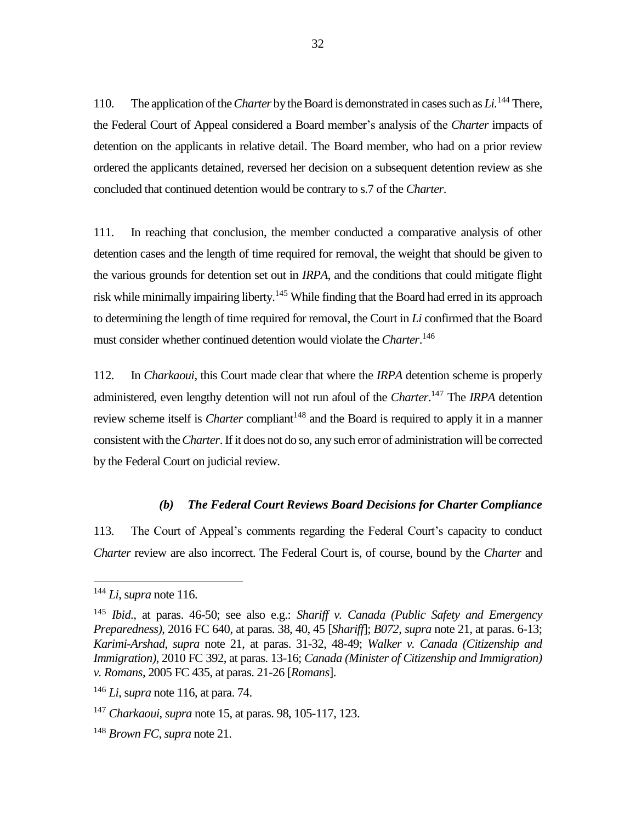110. The application of the *Charter* by the Board is demonstrated in cases such as *Li*.<sup>144</sup> There, the Federal Court of Appeal considered a Board member's analysis of the *Charter* impacts of detention on the applicants in relative detail. The Board member, who had on a prior review ordered the applicants detained, reversed her decision on a subsequent detention review as she concluded that continued detention would be contrary to s.7 of the *Charter*.

111. In reaching that conclusion, the member conducted a comparative analysis of other detention cases and the length of time required for removal, the weight that should be given to the various grounds for detention set out in *IRPA*, and the conditions that could mitigate flight risk while minimally impairing liberty.<sup>145</sup> While finding that the Board had erred in its approach to determining the length of time required for removal, the Court in *Li* confirmed that the Board must consider whether continued detention would violate the *Charter*. 146

112. In *Charkaoui,* this Court made clear that where the *IRPA* detention scheme is properly administered, even lengthy detention will not run afoul of the *Charter*.<sup>147</sup> The *IRPA* detention review scheme itself is *Charter* compliant<sup>148</sup> and the Board is required to apply it in a manner consistent with the*Charter*. If it does not do so, any such error of administration will be corrected by the Federal Court on judicial review.

#### *(b) The Federal Court Reviews Board Decisions for Charter Compliance*

<span id="page-35-0"></span>113. The Court of Appeal's comments regarding the Federal Court's capacity to conduct *Charter* review are also incorrect. The Federal Court is, of course, bound by the *Charter* and

<sup>144</sup> *Li*, s*upra* note 116.

<sup>145</sup> *Ibid*., at paras. 46-50; see also e.g.: *Shariff v. Canada (Public Safety and Emergency Preparedness)*, 2016 FC 640, at paras. 38, 40, 45 [*Shariff*]; *B072*, *supra* note 21, at paras. 6-13; *Karimi-Arshad*, *supra* note 21, at paras. 31-32, 48-49; *Walker v. Canada (Citizenship and Immigration)*, 2010 FC 392, at paras. 13-16; *Canada (Minister of Citizenship and Immigration) v. Romans*, 2005 FC 435, at paras. 21-26 [*Romans*].

<sup>146</sup> *Li*, s*upra* note 116, at para. 74.

<sup>147</sup> *Charkaoui*, *supra* note 15, at paras. 98, 105-117, 123.

<sup>148</sup> *Brown FC*, *supra* note 21.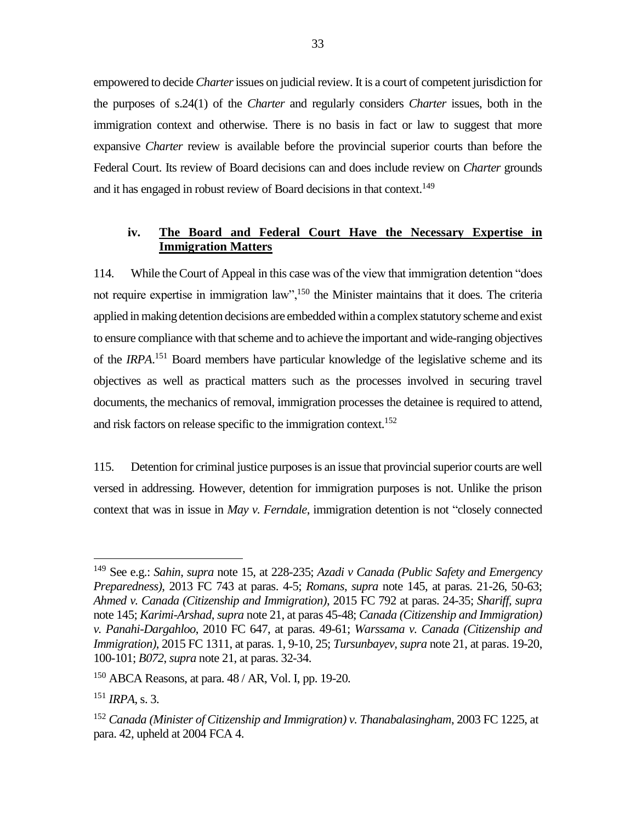empowered to decide *Charter*issues on judicial review. It is a court of competent jurisdiction for the purposes of s.24(1) of the *Charter* and regularly considers *Charter* issues, both in the immigration context and otherwise. There is no basis in fact or law to suggest that more expansive *Charter* review is available before the provincial superior courts than before the Federal Court. Its review of Board decisions can and does include review on *Charter* grounds and it has engaged in robust review of Board decisions in that context.<sup>149</sup>

## <span id="page-36-0"></span>**iv. The Board and Federal Court Have the Necessary Expertise in Immigration Matters**

114. While the Court of Appeal in this case was of the view that immigration detention "does not require expertise in immigration law",<sup>150</sup> the Minister maintains that it does. The criteria applied in making detention decisions are embedded within a complex statutory scheme and exist to ensure compliance with that scheme and to achieve the important and wide-ranging objectives of the *IRPA*. <sup>151</sup> Board members have particular knowledge of the legislative scheme and its objectives as well as practical matters such as the processes involved in securing travel documents, the mechanics of removal, immigration processes the detainee is required to attend, and risk factors on release specific to the immigration context.<sup>152</sup>

115. Detention for criminal justice purposes is an issue that provincial superior courts are well versed in addressing. However, detention for immigration purposes is not. Unlike the prison context that was in issue in *May v. Ferndale*, immigration detention is not "closely connected

<sup>149</sup> See e.g.: *Sahin*, *supra* note 15, at 228-235; *Azadi v Canada (Public Safety and Emergency Preparedness)*, 2013 FC 743 at paras. 4-5; *Romans*, *supra* note 145, at paras. 21-26, 50-63; *Ahmed v. Canada (Citizenship and Immigration)*, 2015 FC 792 at paras. 24-35; *Shariff, supra* note 145; *Karimi-Arshad*, *supra* note 21, at paras 45-48; *Canada (Citizenship and Immigration) v. Panahi-Dargahloo*, 2010 FC 647, at paras. 49-61; *Warssama v. Canada (Citizenship and Immigration)*, 2015 FC 1311, at paras. 1, 9-10, 25; *Tursunbayev, supra* note 21, at paras. 19-20, 100-101; *B072*, *supra* note 21, at paras. 32-34.

 $150$  ABCA Reasons, at para.  $48 / AR$ , Vol. I, pp. 19-20.

<sup>151</sup> *IRPA*, s. 3.

<sup>152</sup> *Canada (Minister of Citizenship and Immigration) v. Thanabalasingham*, 2003 FC 1225, at para. 42, upheld at 2004 FCA 4.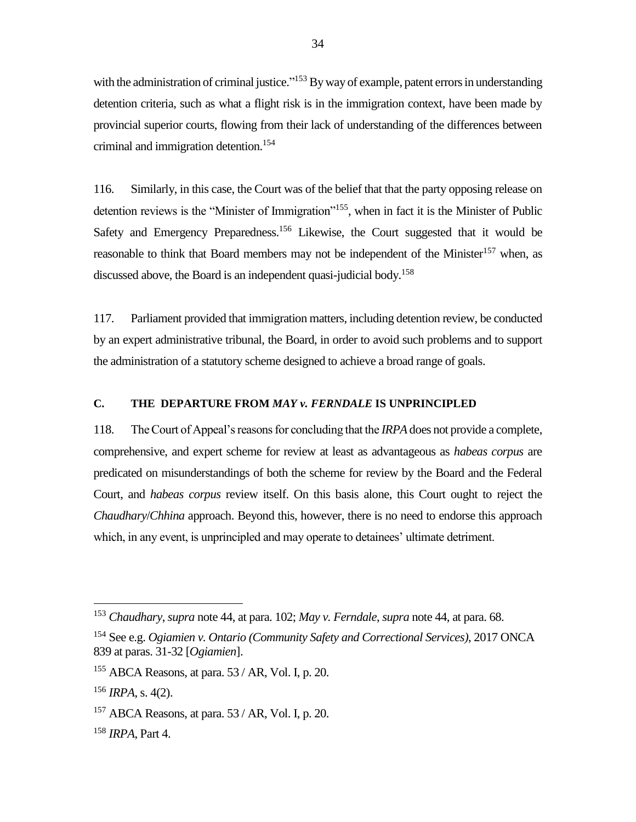with the administration of criminal justice."<sup>153</sup> By way of example, patent errors in understanding detention criteria, such as what a flight risk is in the immigration context, have been made by provincial superior courts, flowing from their lack of understanding of the differences between criminal and immigration detention.<sup>154</sup>

116. Similarly, in this case, the Court was of the belief that that the party opposing release on detention reviews is the "Minister of Immigration"<sup>155</sup>, when in fact it is the Minister of Public Safety and Emergency Preparedness.<sup>156</sup> Likewise, the Court suggested that it would be reasonable to think that Board members may not be independent of the Minister<sup>157</sup> when, as discussed above, the Board is an independent quasi-judicial body.<sup>158</sup>

117. Parliament provided that immigration matters, including detention review, be conducted by an expert administrative tribunal, the Board, in order to avoid such problems and to support the administration of a statutory scheme designed to achieve a broad range of goals.

#### <span id="page-37-0"></span>**C. THE DEPARTURE FROM** *MAY v. FERNDALE* **IS UNPRINCIPLED**

118. The Court of Appeal's reasons for concluding that the *IRPA*does not provide a complete, comprehensive, and expert scheme for review at least as advantageous as *habeas corpus* are predicated on misunderstandings of both the scheme for review by the Board and the Federal Court, and *habeas corpus* review itself. On this basis alone, this Court ought to reject the *Chaudhary*/*Chhina* approach. Beyond this, however, there is no need to endorse this approach which, in any event, is unprincipled and may operate to detainees' ultimate detriment.

<sup>153</sup> *Chaudhary*, *supra* note 44, at para. 102; *May v. Ferndale*, *supra* note 44, at para. 68.

<sup>154</sup> See e.g. *Ogiamien v. Ontario (Community Safety and Correctional Services)*, 2017 ONCA 839 at paras. 31-32 [*Ogiamien*].

 $155$  ABCA Reasons, at para. 53 / AR, Vol. I, p. 20.

 $156$  *IRPA*, s. 4(2).

 $157$  ABCA Reasons, at para.  $53$  / AR, Vol. I, p. 20.

<sup>158</sup> *IRPA*, Part 4.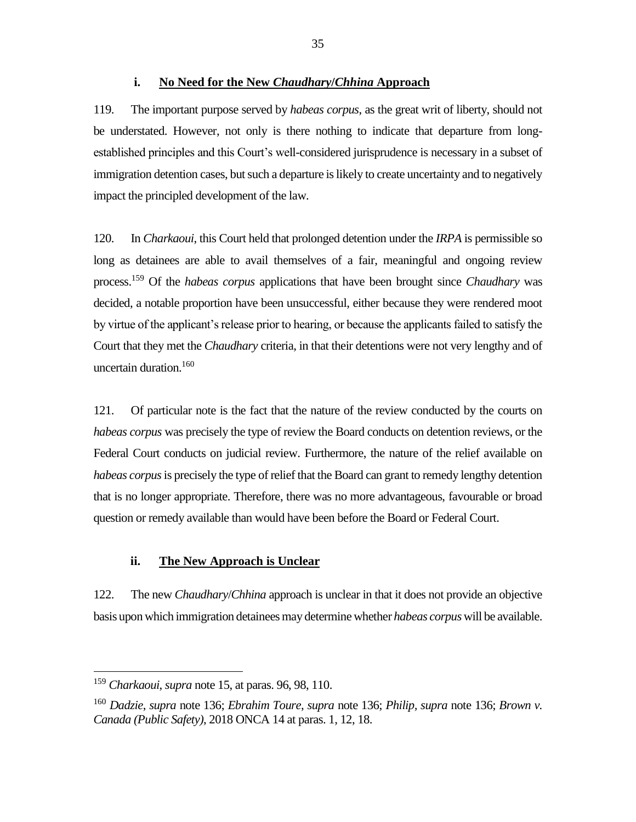#### **i. No Need for the New** *Chaudhary***/***Chhina* **Approach**

<span id="page-38-0"></span>119. The important purpose served by *habeas corpus*, as the great writ of liberty, should not be understated. However, not only is there nothing to indicate that departure from longestablished principles and this Court's well-considered jurisprudence is necessary in a subset of immigration detention cases, but such a departure is likely to create uncertainty and to negatively impact the principled development of the law.

120. In *Charkaoui*, this Court held that prolonged detention under the *IRPA* is permissible so long as detainees are able to avail themselves of a fair, meaningful and ongoing review process.<sup>159</sup> Of the *habeas corpus* applications that have been brought since *Chaudhary* was decided, a notable proportion have been unsuccessful, either because they were rendered moot by virtue of the applicant's release prior to hearing, or because the applicants failed to satisfy the Court that they met the *Chaudhary* criteria, in that their detentions were not very lengthy and of uncertain duration. 160

121. Of particular note is the fact that the nature of the review conducted by the courts on *habeas corpus* was precisely the type of review the Board conducts on detention reviews, or the Federal Court conducts on judicial review. Furthermore, the nature of the relief available on *habeas corpus*is precisely the type of relief that the Board can grant to remedy lengthy detention that is no longer appropriate. Therefore, there was no more advantageous, favourable or broad question or remedy available than would have been before the Board or Federal Court.

## **ii. The New Approach is Unclear**

<span id="page-38-1"></span>122. The new *Chaudhary*/*Chhina* approach is unclear in that it does not provide an objective basis upon which immigration detainees may determine whether *habeas corpus* will be available.

<sup>159</sup> *Charkaoui*, *supra* note 15, at paras. 96, 98, 110.

<sup>160</sup> *Dadzie*, *supra* note 136; *Ebrahim Toure*, *supra* note 136; *Philip, supra* note 136; *Brown v. Canada (Public Safety)*, 2018 ONCA 14 at paras. 1, 12, 18.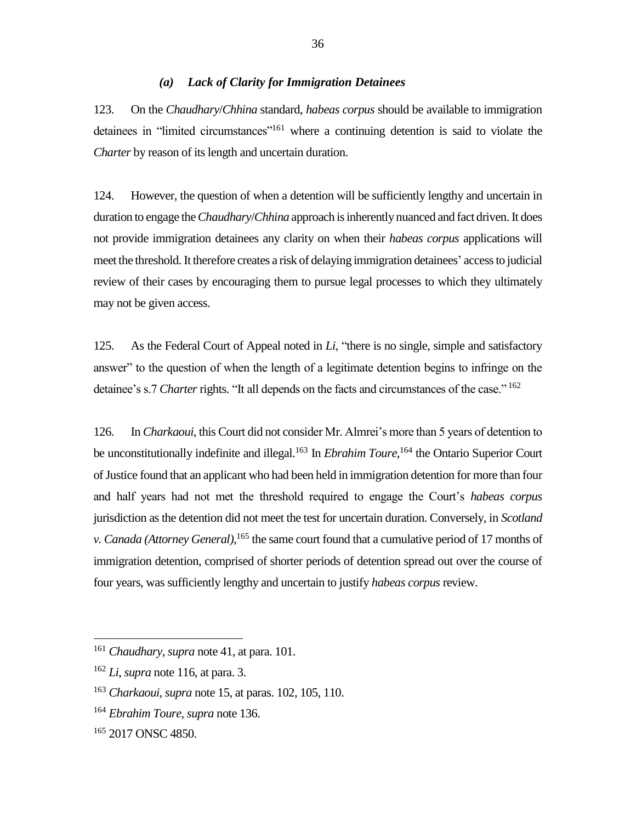#### *(a) Lack of Clarity for Immigration Detainees*

<span id="page-39-0"></span>123. On the *Chaudhary*/*Chhina* standard, *habeas corpus* should be available to immigration detainees in "limited circumstances"<sup>161</sup> where a continuing detention is said to violate the *Charter* by reason of its length and uncertain duration.

124. However, the question of when a detention will be sufficiently lengthy and uncertain in duration to engage the *Chaudhary*/*Chhina* approach is inherently nuanced and fact driven. It does not provide immigration detainees any clarity on when their *habeas corpus* applications will meet the threshold. It therefore creates a risk of delaying immigration detainees' access to judicial review of their cases by encouraging them to pursue legal processes to which they ultimately may not be given access.

125. As the Federal Court of Appeal noted in *Li*, "there is no single, simple and satisfactory answer" to the question of when the length of a legitimate detention begins to infringe on the detainee's s.7 *Charter* rights. "It all depends on the facts and circumstances of the case."<sup>162</sup>

126. In *Charkaoui*, this Court did not consider Mr. Almrei's more than 5 years of detention to be unconstitutionally indefinite and illegal.<sup>163</sup> In *Ebrahim Toure*, <sup>164</sup> the Ontario Superior Court of Justice found that an applicant who had been held in immigration detention for more than four and half years had not met the threshold required to engage the Court's *habeas corpus* jurisdiction as the detention did not meet the test for uncertain duration. Conversely, in *Scotland v. Canada (Attorney General)*, <sup>165</sup> the same court found that a cumulative period of 17 months of immigration detention, comprised of shorter periods of detention spread out over the course of four years, was sufficiently lengthy and uncertain to justify *habeas corpus* review.

<sup>161</sup> *Chaudhary*, *supra* note 41, at para. 101.

<sup>162</sup> *Li*, *supra* note 116, at para. 3.

<sup>163</sup> *Charkaoui, supra* note 15, at paras. 102, 105, 110.

<sup>164</sup> *Ebrahim Toure*, *supra* note 136.

<sup>165</sup> 2017 ONSC 4850.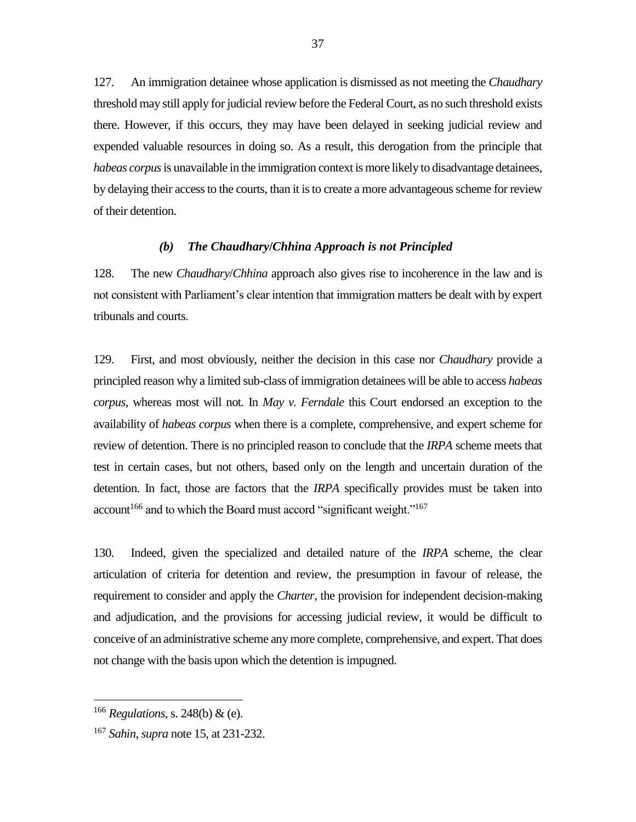127. An immigration detainee whose application is dismissed as not meeting the *Chaudhary* threshold may still apply for judicial review before the Federal Court, as no such threshold exists there. However, if this occurs, they may have been delayed in seeking judicial review and expended valuable resources in doing so. As a result, this derogation from the principle that *habeas corpus*is unavailable in the immigration context is more likely to disadvantage detainees, by delaying their access to the courts, than it is to create a more advantageous scheme for review of their detention.

#### *(b) The Chaudhary***/***Chhina Approach is not Principled*

<span id="page-40-0"></span>128. The new *Chaudhary*/*Chhina* approach also gives rise to incoherence in the law and is not consistent with Parliament's clear intention that immigration matters be dealt with by expert tribunals and courts.

129. First, and most obviously, neither the decision in this case nor *Chaudhary* provide a principled reason why a limited sub-class of immigration detainees will be able to access *habeas corpus*, whereas most will not*.* In *May v. Ferndale* this Court endorsed an exception to the availability of *habeas corpus* when there is a complete, comprehensive, and expert scheme for review of detention. There is no principled reason to conclude that the *IRPA* scheme meets that test in certain cases, but not others, based only on the length and uncertain duration of the detention. In fact, those are factors that the *IRPA* specifically provides must be taken into  $account<sup>166</sup>$  and to which the Board must accord "significant weight."<sup>167</sup>

130. Indeed, given the specialized and detailed nature of the *IRPA* scheme, the clear articulation of criteria for detention and review, the presumption in favour of release, the requirement to consider and apply the *Charter*, the provision for independent decision-making and adjudication, and the provisions for accessing judicial review, it would be difficult to conceive of an administrative scheme any more complete, comprehensive, and expert. That does not change with the basis upon which the detention is impugned.

<sup>166</sup> *Regulations*, s. 248(b) & (e).

<sup>167</sup> *Sahin*, *supra* note 15, at 231-232.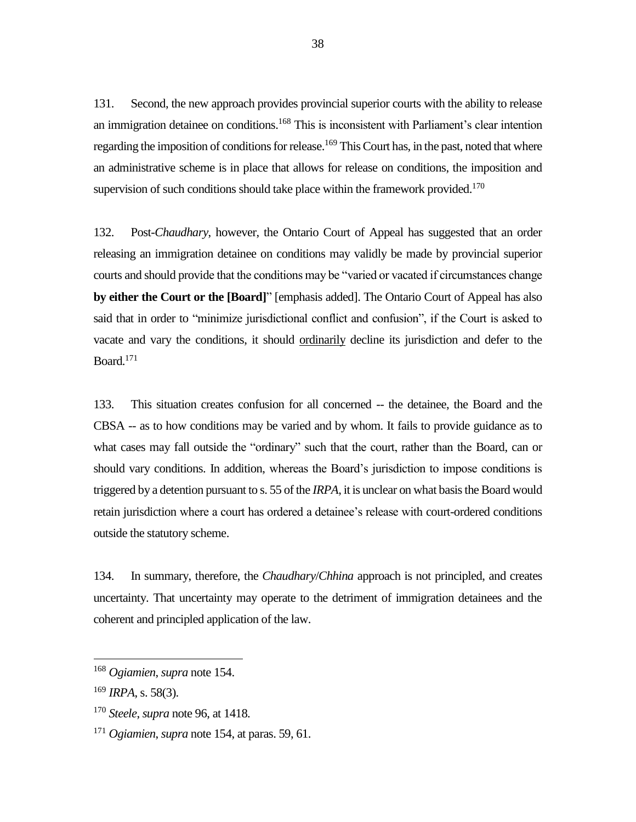131. Second, the new approach provides provincial superior courts with the ability to release an immigration detainee on conditions.<sup>168</sup> This is inconsistent with Parliament's clear intention regarding the imposition of conditions for release.<sup>169</sup> This Court has, in the past, noted that where an administrative scheme is in place that allows for release on conditions, the imposition and supervision of such conditions should take place within the framework provided.<sup>170</sup>

132. Post-*Chaudhary*, however, the Ontario Court of Appeal has suggested that an order releasing an immigration detainee on conditions may validly be made by provincial superior courts and should provide that the conditions may be "varied or vacated if circumstances change **by either the Court or the [Board]**" [emphasis added]. The Ontario Court of Appeal has also said that in order to "minimize jurisdictional conflict and confusion", if the Court is asked to vacate and vary the conditions, it should ordinarily decline its jurisdiction and defer to the Board. 171

133. This situation creates confusion for all concerned -- the detainee, the Board and the CBSA -- as to how conditions may be varied and by whom. It fails to provide guidance as to what cases may fall outside the "ordinary" such that the court, rather than the Board, can or should vary conditions. In addition, whereas the Board's jurisdiction to impose conditions is triggered by a detention pursuant to s. 55 of the *IRPA*, it is unclear on what basis the Board would retain jurisdiction where a court has ordered a detainee's release with court-ordered conditions outside the statutory scheme.

134. In summary, therefore, the *Chaudhary*/*Chhina* approach is not principled, and creates uncertainty. That uncertainty may operate to the detriment of immigration detainees and the coherent and principled application of the law.

<sup>168</sup> *Ogiamien*, *supra* note 154.

<sup>169</sup> *IRPA*, s. 58(3).

<sup>170</sup> *Steele*, *supra* note 96, at 1418.

<sup>171</sup> *Ogiamien*, *supra* note 154, at paras. 59, 61.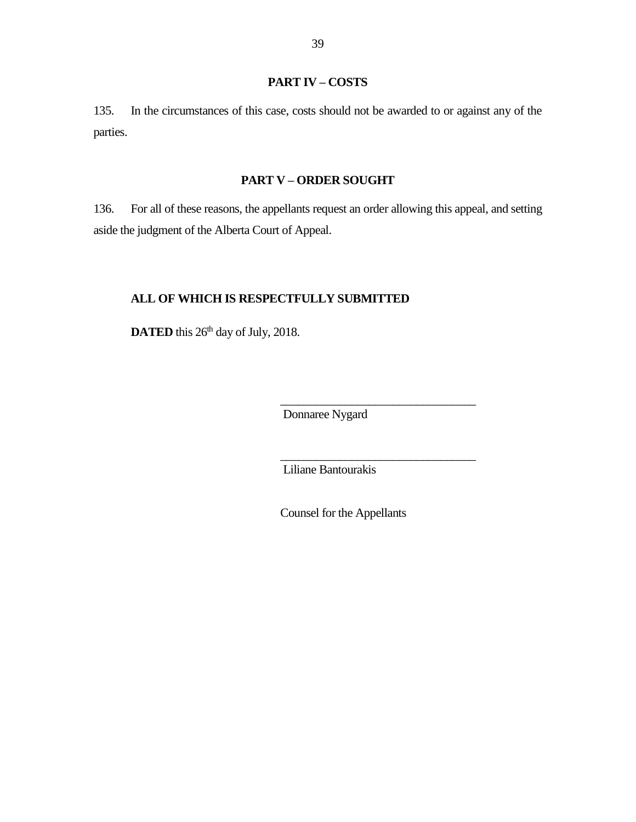## **PART IV – COSTS**

<span id="page-42-0"></span>135. In the circumstances of this case, costs should not be awarded to or against any of the parties.

## **PART V – ORDER SOUGHT**

<span id="page-42-1"></span>136. For all of these reasons, the appellants request an order allowing this appeal, and setting aside the judgment of the Alberta Court of Appeal.

## **ALL OF WHICH IS RESPECTFULLY SUBMITTED**

**DATED** this 26<sup>th</sup> day of July, 2018.

Donnaree Nygard

\_\_\_\_\_\_\_\_\_\_\_\_\_\_\_\_\_\_\_\_\_\_\_\_\_\_\_\_\_\_\_\_\_

\_\_\_\_\_\_\_\_\_\_\_\_\_\_\_\_\_\_\_\_\_\_\_\_\_\_\_\_\_\_\_\_\_

Liliane Bantourakis

Counsel for the Appellants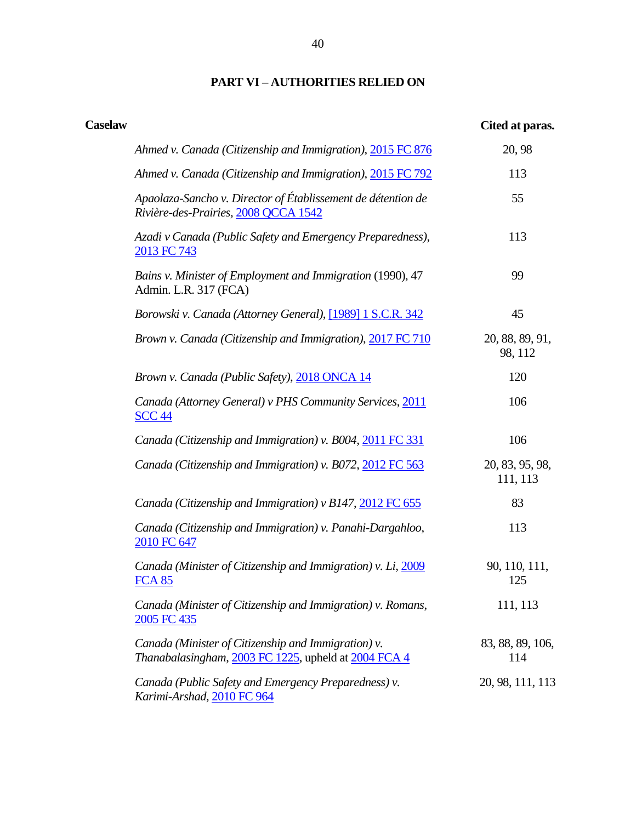## **PART VI – AUTHORITIES RELIED ON**

<span id="page-43-0"></span>

| <b>Caselaw</b> |                                                                                                             | Cited at paras.             |
|----------------|-------------------------------------------------------------------------------------------------------------|-----------------------------|
|                | Ahmed v. Canada (Citizenship and Immigration), 2015 FC 876                                                  | 20, 98                      |
|                | Ahmed v. Canada (Citizenship and Immigration), 2015 FC 792                                                  | 113                         |
|                | Apaolaza-Sancho v. Director of Établissement de détention de<br>Rivière-des-Prairies, 2008 QCCA 1542        | 55                          |
|                | Azadi v Canada (Public Safety and Emergency Preparedness),<br>2013 FC 743                                   | 113                         |
|                | Bains v. Minister of Employment and Immigration (1990), 47<br>Admin. L.R. 317 (FCA)                         | 99                          |
|                | Borowski v. Canada (Attorney General), [1989] 1 S.C.R. 342                                                  | 45                          |
|                | Brown v. Canada (Citizenship and Immigration), 2017 FC 710                                                  | 20, 88, 89, 91,<br>98, 112  |
|                | Brown v. Canada (Public Safety), 2018 ONCA 14                                                               | 120                         |
|                | Canada (Attorney General) v PHS Community Services, 2011<br><b>SCC 44</b>                                   | 106                         |
|                | Canada (Citizenship and Immigration) v. B004, 2011 FC 331                                                   | 106                         |
|                | Canada (Citizenship and Immigration) v. B072, 2012 FC 563                                                   | 20, 83, 95, 98,<br>111, 113 |
|                | Canada (Citizenship and Immigration) v B147, 2012 FC 655                                                    | 83                          |
|                | Canada (Citizenship and Immigration) v. Panahi-Dargahloo,<br>2010 FC 647                                    | 113                         |
|                | Canada (Minister of Citizenship and Immigration) v. Li, 2009<br><b>FCA 85</b>                               | 90, 110, 111,<br>125        |
|                | Canada (Minister of Citizenship and Immigration) v. Romans,<br>2005 FC 435                                  | 111, 113                    |
|                | Canada (Minister of Citizenship and Immigration) v.<br>Thanabalasingham, 2003 FC 1225, upheld at 2004 FCA 4 | 83, 88, 89, 106,<br>114     |
|                | Canada (Public Safety and Emergency Preparedness) v.<br>Karimi-Arshad, 2010 FC 964                          | 20, 98, 111, 113            |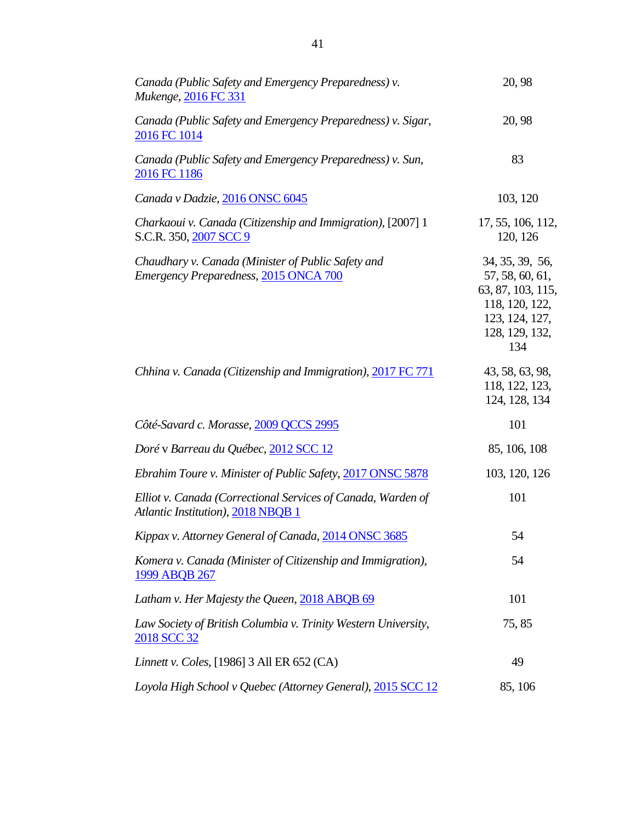| Canada (Public Safety and Emergency Preparedness) v.<br>Mukenge, 2016 FC 331                       | 20, 98                                                                                                               |
|----------------------------------------------------------------------------------------------------|----------------------------------------------------------------------------------------------------------------------|
| Canada (Public Safety and Emergency Preparedness) v. Sigar,<br>2016 FC 1014                        | 20, 98                                                                                                               |
| Canada (Public Safety and Emergency Preparedness) v. Sun,<br>2016 FC 1186                          | 83                                                                                                                   |
| Canada v Dadzie, 2016 ONSC 6045                                                                    | 103, 120                                                                                                             |
| Charkaoui v. Canada (Citizenship and Immigration), [2007] 1<br>S.C.R. 350, 2007 SCC 9              | 17, 55, 106, 112,<br>120, 126                                                                                        |
| Chaudhary v. Canada (Minister of Public Safety and<br>Emergency Preparedness, 2015 ONCA 700        | 34, 35, 39, 56,<br>57, 58, 60, 61,<br>63, 87, 103, 115,<br>118, 120, 122,<br>123, 124, 127,<br>128, 129, 132,<br>134 |
| Chhina v. Canada (Citizenship and Immigration), 2017 FC 771                                        | 43, 58, 63, 98,<br>118, 122, 123,<br>124, 128, 134                                                                   |
| Côté-Savard c. Morasse, 2009 QCCS 2995                                                             | 101                                                                                                                  |
| Doré v Barreau du Québec, 2012 SCC 12                                                              | 85, 106, 108                                                                                                         |
| Ebrahim Toure v. Minister of Public Safety, 2017 ONSC 5878                                         | 103, 120, 126                                                                                                        |
| Elliot v. Canada (Correctional Services of Canada, Warden of<br>Atlantic Institution), 2018 NBQB 1 | 101                                                                                                                  |
| Kippax v. Attorney General of Canada, 2014 ONSC 3685                                               | 54                                                                                                                   |
| Komera v. Canada (Minister of Citizenship and Immigration),<br>1999 ABQB 267                       | 54                                                                                                                   |
| Latham v. Her Majesty the Queen, 2018 ABQB 69                                                      | 101                                                                                                                  |
| Law Society of British Columbia v. Trinity Western University,<br>2018 SCC 32                      | 75,85                                                                                                                |
| Linnett v. Coles, [1986] 3 All ER 652 (CA)                                                         | 49                                                                                                                   |
| Loyola High School v Quebec (Attorney General), 2015 SCC 12                                        | 85, 106                                                                                                              |
|                                                                                                    |                                                                                                                      |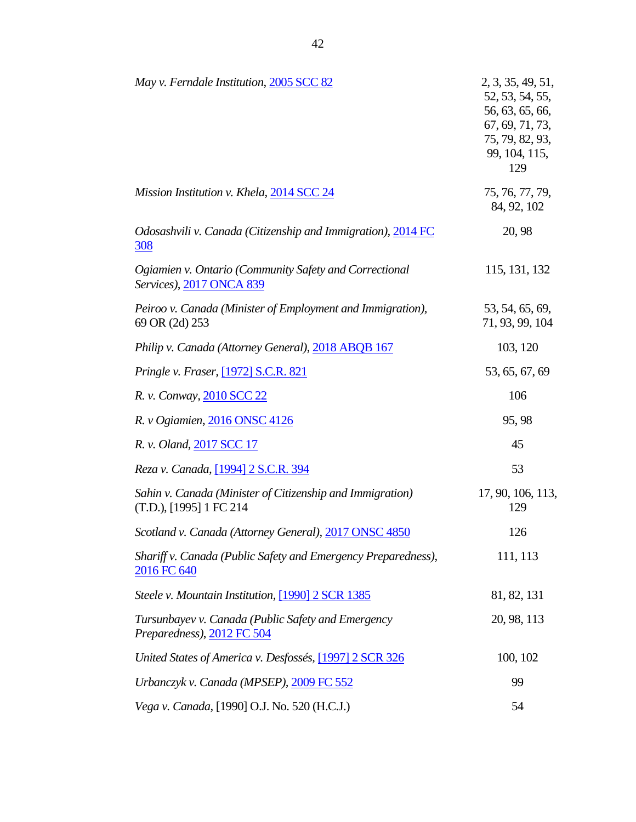| May v. Ferndale Institution, 2005 SCC 82                                             | 2, 3, 35, 49, 51,<br>52, 53, 54, 55,<br>56, 63, 65, 66,<br>67, 69, 71, 73,<br>75, 79, 82, 93,<br>99, 104, 115,<br>129 |
|--------------------------------------------------------------------------------------|-----------------------------------------------------------------------------------------------------------------------|
| Mission Institution v. Khela, 2014 SCC 24                                            | 75, 76, 77, 79,<br>84, 92, 102                                                                                        |
| Odosashvili v. Canada (Citizenship and Immigration), 2014 FC<br><u>308</u>           | 20, 98                                                                                                                |
| Ogiamien v. Ontario (Community Safety and Correctional<br>Services), 2017 ONCA 839   | 115, 131, 132                                                                                                         |
| Peiroo v. Canada (Minister of Employment and Immigration),<br>69 OR (2d) 253         | 53, 54, 65, 69,<br>71, 93, 99, 104                                                                                    |
| Philip v. Canada (Attorney General), 2018 ABQB 167                                   | 103, 120                                                                                                              |
| Pringle v. Fraser, [1972] S.C.R. 821                                                 | 53, 65, 67, 69                                                                                                        |
| R. v. Conway, 2010 SCC 22                                                            | 106                                                                                                                   |
| R. v Ogiamien, 2016 ONSC 4126                                                        | 95,98                                                                                                                 |
| R. v. Oland, 2017 SCC 17                                                             | 45                                                                                                                    |
| Reza v. Canada, [1994] 2 S.C.R. 394                                                  | 53                                                                                                                    |
| Sahin v. Canada (Minister of Citizenship and Immigration)<br>(T.D.), [1995] 1 FC 214 | 17, 90, 106, 113,<br>129                                                                                              |
| Scotland v. Canada (Attorney General), 2017 ONSC 4850                                | 126                                                                                                                   |
| Shariff v. Canada (Public Safety and Emergency Preparedness),<br>2016 FC 640         | 111, 113                                                                                                              |
| Steele v. Mountain Institution, [1990] 2 SCR 1385                                    | 81, 82, 131                                                                                                           |
| Tursunbayev v. Canada (Public Safety and Emergency<br>Preparedness), 2012 FC 504     | 20, 98, 113                                                                                                           |
| United States of America v. Desfossés, [1997] 2 SCR 326                              | 100, 102                                                                                                              |
| Urbanczyk v. Canada (MPSEP), 2009 FC 552                                             | 99                                                                                                                    |
| Vega v. Canada, [1990] O.J. No. 520 (H.C.J.)                                         | 54                                                                                                                    |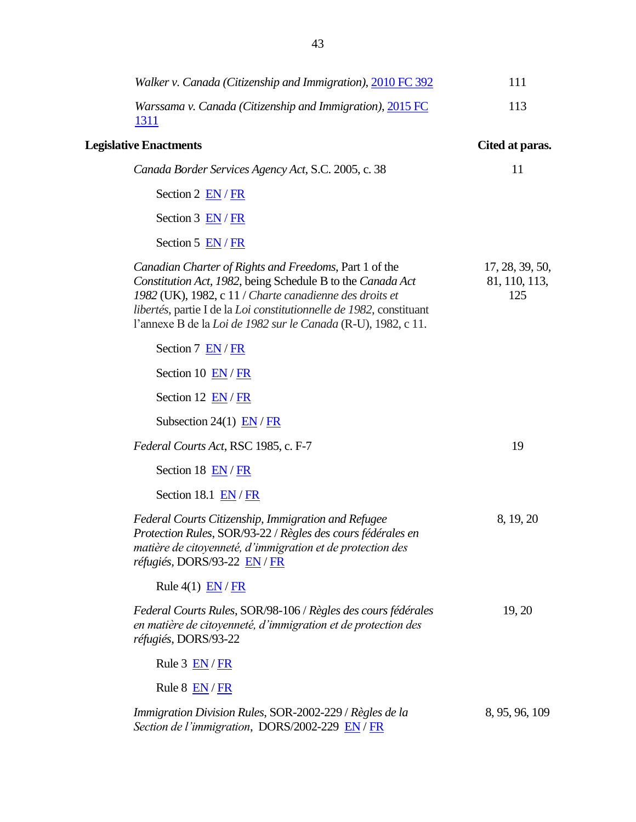| Walker v. Canada (Citizenship and Immigration), 2010 FC 392                                                                                                                                                                                                                                                             | 111                                     |
|-------------------------------------------------------------------------------------------------------------------------------------------------------------------------------------------------------------------------------------------------------------------------------------------------------------------------|-----------------------------------------|
| Warssama v. Canada (Citizenship and Immigration), 2015 FC<br><u>1311</u>                                                                                                                                                                                                                                                | 113                                     |
| <b>Legislative Enactments</b>                                                                                                                                                                                                                                                                                           | Cited at paras.                         |
| Canada Border Services Agency Act, S.C. 2005, c. 38                                                                                                                                                                                                                                                                     | 11                                      |
| Section 2 $EN / FR$                                                                                                                                                                                                                                                                                                     |                                         |
| Section $3 \overline{EN}/FR$                                                                                                                                                                                                                                                                                            |                                         |
| Section 5 $EN/FR$                                                                                                                                                                                                                                                                                                       |                                         |
| Canadian Charter of Rights and Freedoms, Part 1 of the<br>Constitution Act, 1982, being Schedule B to the Canada Act<br>1982 (UK), 1982, c 11 / Charte canadienne des droits et<br>libertés, partie I de la Loi constitutionnelle de 1982, constituant<br>l'annexe B de la Loi de 1982 sur le Canada (R-U), 1982, c 11. | 17, 28, 39, 50,<br>81, 110, 113,<br>125 |
| Section 7 EN/FR                                                                                                                                                                                                                                                                                                         |                                         |
| Section 10 EN/FR                                                                                                                                                                                                                                                                                                        |                                         |
| Section 12 EN/FR                                                                                                                                                                                                                                                                                                        |                                         |
| Subsection 24(1) $EN / FR$                                                                                                                                                                                                                                                                                              |                                         |
| Federal Courts Act, RSC 1985, c. F-7                                                                                                                                                                                                                                                                                    | 19                                      |
| Section 18 EN/FR                                                                                                                                                                                                                                                                                                        |                                         |
| Section 18.1 EN/FR                                                                                                                                                                                                                                                                                                      |                                         |
| Federal Courts Citizenship, Immigration and Refugee<br>Protection Rules, SOR/93-22 / Règles des cours fédérales en<br>matière de citoyenneté, d'immigration et de protection des<br>réfugiés, DORS/93-22 EN / FR                                                                                                        | 8, 19, 20                               |
| Rule $4(1)$ $EN / FR$                                                                                                                                                                                                                                                                                                   |                                         |
| Federal Courts Rules, SOR/98-106 / Règles des cours fédérales<br>en matière de citoyenneté, d'immigration et de protection des<br>réfugiés, DORS/93-22                                                                                                                                                                  | 19, 20                                  |
| Rule $3$ $EN/FR$                                                                                                                                                                                                                                                                                                        |                                         |
| Rule $8$ $EN / FR$                                                                                                                                                                                                                                                                                                      |                                         |
| Immigration Division Rules, SOR-2002-229 / Règles de la<br>Section de l'immigration, DORS/2002-229 EN / FR                                                                                                                                                                                                              | 8, 95, 96, 109                          |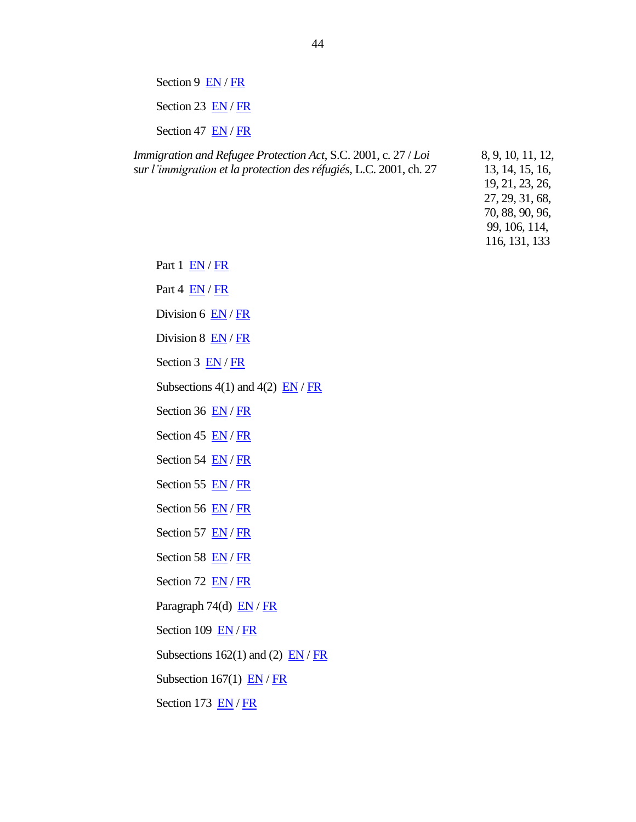Section 9 [EN](http://laws-lois.justice.gc.ca/eng/regulations/SOR-2002-229/FullText.html#s-9) / [FR](http://laws-lois.justice.gc.ca/fra/reglements/DORS-2002-229/TexteComplet.html#s-9) Section 23  $EN / FR$  $EN / FR$ Section 47 [EN](http://laws-lois.justice.gc.ca/eng/regulations/SOR-2002-229/FullText.html#s-47) [/ FR](http://laws-lois.justice.gc.ca/fra/reglements/DORS-2002-229/TexteComplet.html#s-47)

*Immigration and Refugee Protection Act*, S.C. 2001, c. 27 / *Loi sur l'immigration et la protection des réfugiés*, L.C. 2001, ch. 27 8, 9, 10, 11, 12, 13, 14, 15, 16, 19, 21, 23, 26, 27, 29, 31, 68, 70, 88, 90, 96, 99, 106, 114, 116, 131, 133

Part 1 [EN](http://laws-lois.justice.gc.ca/eng/acts/I-2.5/FullText.html#h-6) / [FR](http://laws-lois.justice.gc.ca/fra/lois/I-2.5/TexteComplet.html#h-6)

Part  $4 \overline{EN}/FR$  $4 \overline{EN}/FR$  $4 \overline{EN}/FR$ 

Division 6 [EN](http://laws-lois.justice.gc.ca/eng/acts/I-2.5/FullText.html#h-30) / [FR](http://laws-lois.justice.gc.ca/fra/lois/I-2.5/TexteComplet.html#h-30)

Division 8 [EN](http://laws-lois.justice.gc.ca/eng/acts/I-2.5/FullText.html#h-32) / [FR](http://laws-lois.justice.gc.ca/fra/lois/I-2.5/TexteComplet.html#h-32)

Section 3 [EN](http://laws-lois.justice.gc.ca/eng/acts/I-2.5/FullText.html#s-3) / [FR](http://laws-lois.justice.gc.ca/fra/lois/I-2.5/TexteComplet.html#s-3)

Subsections 4(1) and 4(2)  $\overline{EN}/\overline{FR}$  $\overline{EN}/\overline{FR}$  $\overline{EN}/\overline{FR}$ 

Section 36 [EN](http://laws-lois.justice.gc.ca/eng/acts/I-2.5/FullText.html#s-36) [/ FR](http://laws-lois.justice.gc.ca/fra/lois/I-2.5/TexteComplet.html#s-36)

Section 45 [EN](http://laws-lois.justice.gc.ca/eng/acts/I-2.5/FullText.html#s-45) [/ FR](http://laws-lois.justice.gc.ca/fra/lois/I-2.5/TexteComplet.html#s-45)

Section 54  $EN / FR$  $EN / FR$ 

Section 55 [EN](http://laws-lois.justice.gc.ca/eng/acts/I-2.5/FullText.html#s-55) [/ FR](http://laws-lois.justice.gc.ca/fra/lois/I-2.5/TexteComplet.html#s-55)

Section 56 [EN](http://laws-lois.justice.gc.ca/eng/acts/I-2.5/FullText.html#s-56) [/ FR](http://laws-lois.justice.gc.ca/fra/lois/I-2.5/TexteComplet.html#s-56)

Section 57 [EN](http://laws-lois.justice.gc.ca/eng/acts/I-2.5/FullText.html#s-57) [/ FR](http://laws-lois.justice.gc.ca/fra/lois/I-2.5/TexteComplet.html#s-57)

Section 58 [EN](http://laws-lois.justice.gc.ca/eng/acts/I-2.5/FullText.html#s-58) [/ FR](http://laws-lois.justice.gc.ca/fra/lois/I-2.5/TexteComplet.html#s-58)

Section 72 [EN](http://laws-lois.justice.gc.ca/eng/acts/I-2.5/FullText.html#s-72) [/ FR](http://laws-lois.justice.gc.ca/fra/lois/I-2.5/TexteComplet.html#s-72)

Paragraph 74(d)  $EN / FR$  $EN / FR$  $EN / FR$ 

Section 109 [EN](http://laws-lois.justice.gc.ca/eng/acts/I-2.5/FullText.html#s-109) / [FR](http://laws-lois.justice.gc.ca/fra/lois/I-2.5/TexteComplet.html#s-109)

Subsections 162(1) and (2)  $\overline{EN}/\overline{FR}$ 

Subsection 167(1)  $EN / FR$  $EN / FR$  $EN / FR$ 

Section 173 [EN](http://laws-lois.justice.gc.ca/eng/acts/I-2.5/FullText.html#s-173) / [FR](http://laws-lois.justice.gc.ca/fra/lois/I-2.5/TexteComplet.html#s-173)